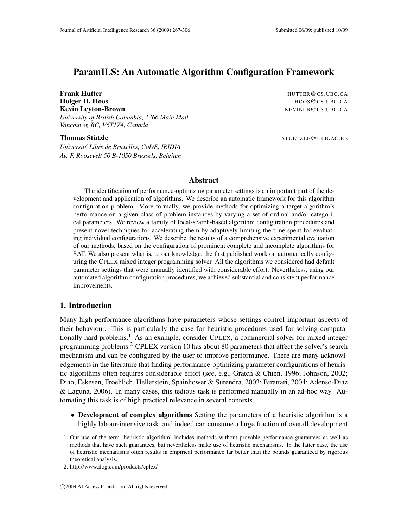# ParamILS: An Automatic Algorithm Configuration Framework

Frank Hutter **HUTTER** @CS.UBC.CA Holger H. Hoos CS.UBC.CA **Kevin Leyton-Brown KEVINLB @CS.UBC.CA** *University of British Columbia, 2366 Main Mall Vancouver, BC, V6T1Z4, Canada*

Thomas Stutzle ¨ STUETZLE@ULB.AC.BE

*Universite Libre de Bruxelles, CoDE, IRIDIA ´ Av. F. Roosevelt 50 B-1050 Brussels, Belgium*

# Abstract

The identification of performance-optimizing parameter settings is an important part of the development and application of algorithms. We describe an automatic framework for this algorithm configuration problem. More formally, we provide methods for optimizing a target algorithm's performance on a given class of problem instances by varying a set of ordinal and/or categorical parameters. We review a family of local-search-based algorithm configuration procedures and present novel techniques for accelerating them by adaptively limiting the time spent for evaluating individual configurations. We describe the results of a comprehensive experimental evaluation of our methods, based on the configuration of prominent complete and incomplete algorithms for SAT. We also present what is, to our knowledge, the first published work on automatically configuring the CPLEX mixed integer programming solver. All the algorithms we considered had default parameter settings that were manually identified with considerable effort. Nevertheless, using our automated algorithm configuration procedures, we achieved substantial and consistent performance improvements.

# 1. Introduction

Many high-performance algorithms have parameters whose settings control important aspects of their behaviour. This is particularly the case for heuristic procedures used for solving computationally hard problems.<sup>1</sup> As an example, consider CPLEX, a commercial solver for mixed integer programming problems.<sup>2</sup> CPLEX version 10 has about 80 parameters that affect the solver's search mechanism and can be configured by the user to improve performance. There are many acknowledgements in the literature that finding performance-optimizing parameter configurations of heuristic algorithms often requires considerable effort (see, e.g., Gratch & Chien, 1996; Johnson, 2002; Diao, Eskesen, Froehlich, Hellerstein, Spainhower & Surendra, 2003; Birattari, 2004; Adenso-Diaz & Laguna, 2006). In many cases, this tedious task is performed manually in an ad-hoc way. Automating this task is of high practical relevance in several contexts.

• Development of complex algorithms Setting the parameters of a heuristic algorithm is a highly labour-intensive task, and indeed can consume a large fraction of overall development

<sup>1.</sup> Our use of the term 'heuristic algorithm' includes methods without provable performance guarantees as well as methods that have such guarantees, but nevertheless make use of heuristic mechanisms. In the latter case, the use of heuristic mechanisms often results in empirical performance far better than the bounds guaranteed by rigorous theoretical analysis.

<sup>2.</sup> http://www.ilog.com/products/cplex/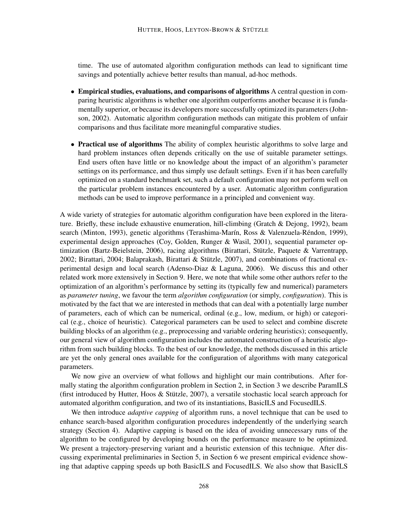time. The use of automated algorithm configuration methods can lead to significant time savings and potentially achieve better results than manual, ad-hoc methods.

- Empirical studies, evaluations, and comparisons of algorithms A central question in comparing heuristic algorithms is whether one algorithm outperforms another because it is fundamentally superior, or because its developers more successfully optimized its parameters (Johnson, 2002). Automatic algorithm configuration methods can mitigate this problem of unfair comparisons and thus facilitate more meaningful comparative studies.
- Practical use of algorithms The ability of complex heuristic algorithms to solve large and hard problem instances often depends critically on the use of suitable parameter settings. End users often have little or no knowledge about the impact of an algorithm's parameter settings on its performance, and thus simply use default settings. Even if it has been carefully optimized on a standard benchmark set, such a default configuration may not perform well on the particular problem instances encountered by a user. Automatic algorithm configuration methods can be used to improve performance in a principled and convenient way.

A wide variety of strategies for automatic algorithm configuration have been explored in the literature. Briefly, these include exhaustive enumeration, hill-climbing (Gratch & Dejong, 1992), beam search (Minton, 1993), genetic algorithms (Terashima-Marín, Ross & Valenzuela-Réndon, 1999), experimental design approaches (Coy, Golden, Runger & Wasil, 2001), sequential parameter optimization (Bartz-Beielstein, 2006), racing algorithms (Birattari, Stutzle, Paquete & Varrentrapp, ¨ 2002; Birattari, 2004; Balaprakash, Birattari & Stützle, 2007), and combinations of fractional experimental design and local search (Adenso-Diaz & Laguna, 2006). We discuss this and other related work more extensively in Section 9. Here, we note that while some other authors refer to the optimization of an algorithm's performance by setting its (typically few and numerical) parameters as *parameter tuning*, we favour the term *algorithm configuration* (or simply, *configuration*). This is motivated by the fact that we are interested in methods that can deal with a potentially large number of parameters, each of which can be numerical, ordinal (e.g., low, medium, or high) or categorical (e.g., choice of heuristic). Categorical parameters can be used to select and combine discrete building blocks of an algorithm (e.g., preprocessing and variable ordering heuristics); consequently, our general view of algorithm configuration includes the automated construction of a heuristic algorithm from such building blocks. To the best of our knowledge, the methods discussed in this article are yet the only general ones available for the configuration of algorithms with many categorical parameters.

We now give an overview of what follows and highlight our main contributions. After formally stating the algorithm configuration problem in Section 2, in Section 3 we describe ParamILS (first introduced by Hutter, Hoos  $&$  Stützle, 2007), a versatile stochastic local search approach for automated algorithm configuration, and two of its instantiations, BasicILS and FocusedILS.

We then introduce *adaptive capping* of algorithm runs, a novel technique that can be used to enhance search-based algorithm configuration procedures independently of the underlying search strategy (Section 4). Adaptive capping is based on the idea of avoiding unnecessary runs of the algorithm to be configured by developing bounds on the performance measure to be optimized. We present a trajectory-preserving variant and a heuristic extension of this technique. After discussing experimental preliminaries in Section 5, in Section 6 we present empirical evidence showing that adaptive capping speeds up both BasicILS and FocusedILS. We also show that BasicILS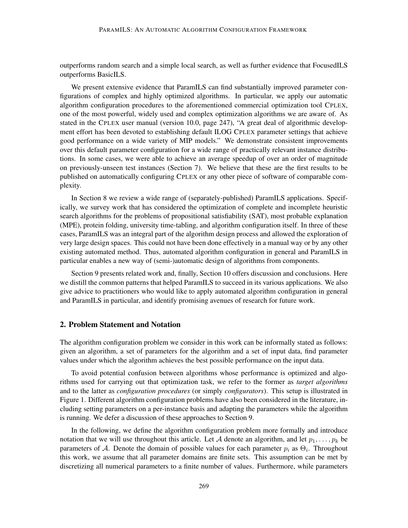outperforms random search and a simple local search, as well as further evidence that FocusedILS outperforms BasicILS.

We present extensive evidence that ParamILS can find substantially improved parameter configurations of complex and highly optimized algorithms. In particular, we apply our automatic algorithm configuration procedures to the aforementioned commercial optimization tool CPLEX, one of the most powerful, widely used and complex optimization algorithms we are aware of. As stated in the CPLEX user manual (version 10.0, page 247), "A great deal of algorithmic development effort has been devoted to establishing default ILOG CPLEX parameter settings that achieve good performance on a wide variety of MIP models." We demonstrate consistent improvements over this default parameter configuration for a wide range of practically relevant instance distributions. In some cases, we were able to achieve an average speedup of over an order of magnitude on previously-unseen test instances (Section 7). We believe that these are the first results to be published on automatically configuring CPLEX or any other piece of software of comparable complexity.

In Section 8 we review a wide range of (separately-published) ParamILS applications. Specifically, we survey work that has considered the optimization of complete and incomplete heuristic search algorithms for the problems of propositional satisfiability (SAT), most probable explanation (MPE), protein folding, university time-tabling, and algorithm configuration itself. In three of these cases, ParamILS was an integral part of the algorithm design process and allowed the exploration of very large design spaces. This could not have been done effectively in a manual way or by any other existing automated method. Thus, automated algorithm configuration in general and ParamILS in particular enables a new way of (semi-)automatic design of algorithms from components.

Section 9 presents related work and, finally, Section 10 offers discussion and conclusions. Here we distill the common patterns that helped ParamILS to succeed in its various applications. We also give advice to practitioners who would like to apply automated algorithm configuration in general and ParamILS in particular, and identify promising avenues of research for future work.

### 2. Problem Statement and Notation

The algorithm configuration problem we consider in this work can be informally stated as follows: given an algorithm, a set of parameters for the algorithm and a set of input data, find parameter values under which the algorithm achieves the best possible performance on the input data.

To avoid potential confusion between algorithms whose performance is optimized and algorithms used for carrying out that optimization task, we refer to the former as *target algorithms* and to the latter as *configuration procedures* (or simply *configurators*). This setup is illustrated in Figure 1. Different algorithm configuration problems have also been considered in the literature, including setting parameters on a per-instance basis and adapting the parameters while the algorithm is running. We defer a discussion of these approaches to Section 9.

In the following, we define the algorithm configuration problem more formally and introduce notation that we will use throughout this article. Let A denote an algorithm, and let  $p_1, \ldots, p_k$  be parameters of A. Denote the domain of possible values for each parameter  $p_i$  as  $\Theta_i$ . Throughout this work, we assume that all parameter domains are finite sets. This assumption can be met by discretizing all numerical parameters to a finite number of values. Furthermore, while parameters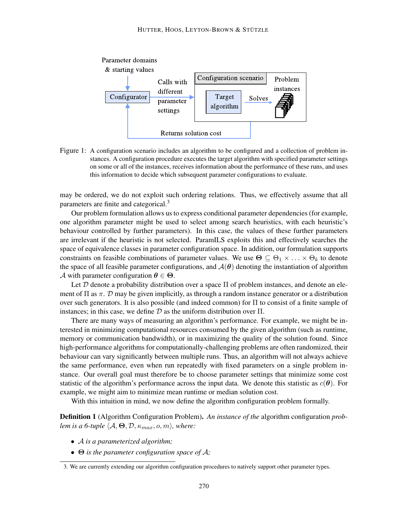

Figure 1: A configuration scenario includes an algorithm to be configured and a collection of problem instances. A configuration procedure executes the target algorithm with specified parameter settings on some or all of the instances, receives information about the performance of these runs, and uses this information to decide which subsequent parameter configurations to evaluate.

may be ordered, we do not exploit such ordering relations. Thus, we effectively assume that all parameters are finite and categorical.<sup>3</sup>

Our problem formulation allows us to express conditional parameter dependencies (for example, one algorithm parameter might be used to select among search heuristics, with each heuristic's behaviour controlled by further parameters). In this case, the values of these further parameters are irrelevant if the heuristic is not selected. ParamILS exploits this and effectively searches the space of equivalence classes in parameter configuration space. In addition, our formulation supports constraints on feasible combinations of parameter values. We use  $\Theta \subseteq \Theta_1 \times \ldots \times \Theta_k$  to denote the space of all feasible parameter configurations, and  $A(\theta)$  denoting the instantiation of algorithm A with parameter configuration  $\theta \in \Theta$ .

Let D denote a probability distribution over a space  $\Pi$  of problem instances, and denote an element of  $\Pi$  as  $\pi$ .  $\mathcal D$  may be given implicitly, as through a random instance generator or a distribution over such generators. It is also possible (and indeed common) for  $\Pi$  to consist of a finite sample of instances; in this case, we define  $\mathcal D$  as the uniform distribution over  $\Pi$ .

There are many ways of measuring an algorithm's performance. For example, we might be interested in minimizing computational resources consumed by the given algorithm (such as runtime, memory or communication bandwidth), or in maximizing the quality of the solution found. Since high-performance algorithms for computationally-challenging problems are often randomized, their behaviour can vary significantly between multiple runs. Thus, an algorithm will not always achieve the same performance, even when run repeatedly with fixed parameters on a single problem instance. Our overall goal must therefore be to choose parameter settings that minimize some cost statistic of the algorithm's performance across the input data. We denote this statistic as  $c(\theta)$ . For example, we might aim to minimize mean runtime or median solution cost.

With this intuition in mind, we now define the algorithm configuration problem formally.

Definition 1 (Algorithm Configuration Problem). *An instance of the* algorithm configuration *problem is a 6-tuple*  $\langle A, \Theta, \mathcal{D}, \kappa_{max}, o, m \rangle$ *, where:* 

- A *is a parameterized algorithm;*
- Θ *is the parameter configuration space of* A*;*

<sup>3.</sup> We are currently extending our algorithm configuration procedures to natively support other parameter types.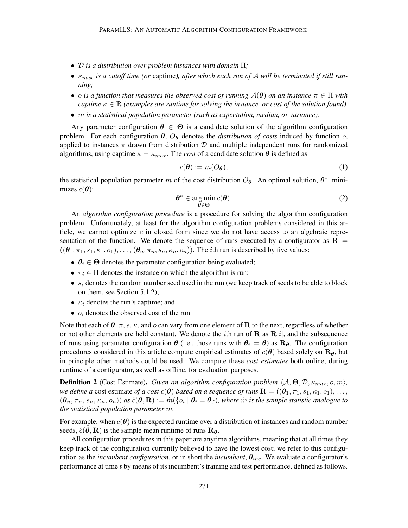- D *is a distribution over problem instances with domain* Π*;*
- $\bullet$   $\kappa_{max}$  *is a cutoff time (or captime), after which each run of A will be terminated if still running;*
- o is a function that measures the observed cost of running  $A(\theta)$  on an instance  $\pi \in \Pi$  with *captime*  $\kappa \in \mathbb{R}$  *(examples are runtime for solving the instance, or cost of the solution found)*
- m *is a statistical population parameter (such as expectation, median, or variance).*

Any parameter configuration  $\theta \in \Theta$  is a candidate solution of the algorithm configuration problem. For each configuration  $\theta$ ,  $O_{\theta}$  denotes the *distribution of costs* induced by function  $o$ , applied to instances  $\pi$  drawn from distribution  $\mathcal D$  and multiple independent runs for randomized algorithms, using captime  $\kappa = \kappa_{max}$ . The *cost* of a candidate solution  $\theta$  is defined as

$$
c(\boldsymbol{\theta}) := m(O_{\boldsymbol{\theta}}),\tag{1}
$$

the statistical population parameter m of the cost distribution  $O_{\theta}$ . An optimal solution,  $\theta^*$ , minimizes  $c(\boldsymbol{\theta})$ :

$$
\boldsymbol{\theta}^* \in \operatorname*{arg\,min}_{\boldsymbol{\theta} \in \boldsymbol{\Theta}} c(\boldsymbol{\theta}).
$$
\n(2)

An *algorithm configuration procedure* is a procedure for solving the algorithm configuration problem. Unfortunately, at least for the algorithm configuration problems considered in this article, we cannot optimize  $c$  in closed form since we do not have access to an algebraic representation of the function. We denote the sequence of runs executed by a configurator as  $\mathbf{R} =$  $((\theta_1, \pi_1, s_1, \kappa_1, o_1), \ldots, (\theta_n, \pi_n, s_n, \kappa_n, o_n))$ . The *i*th run is described by five values:

- $\theta_i \in \Theta$  denotes the parameter configuration being evaluated;
- $\pi_i \in \Pi$  denotes the instance on which the algorithm is run;
- $s_i$  denotes the random number seed used in the run (we keep track of seeds to be able to block on them, see Section 5.1.2);
- $\kappa_i$  denotes the run's captime; and
- $o_i$  denotes the observed cost of the run

Note that each of  $\theta$ ,  $\pi$ , s,  $\kappa$ , and  $\sigma$  can vary from one element of **R** to the next, regardless of whether or not other elements are held constant. We denote the *i*th run of **R** as  $R[i]$ , and the subsequence of runs using parameter configuration  $\theta$  (i.e., those runs with  $\theta_i = \theta$ ) as  $\mathbf{R}_{\theta}$ . The configuration procedures considered in this article compute empirical estimates of  $c(\theta)$  based solely on  $\mathbf{R}_{\theta}$ , but in principle other methods could be used. We compute these *cost estimates* both online, during runtime of a configurator, as well as offline, for evaluation purposes.

**Definition 2** (Cost Estimate). *Given an algorithm configuration problem*  $\langle A, \Theta, \mathcal{D}, \kappa_{max}, o, m \rangle$ , *we define a* cost estimate *of a cost*  $c(\theta)$  *based on a sequence of runs*  $\mathbf{R} = ((\theta_1, \pi_1, s_1, \kappa_1, o_1), \ldots,$  $(\theta_n, \pi_n, s_n, \kappa_n, o_n)$  *as*  $\hat{c}(\theta, \mathbf{R}) := \hat{m}(\{o_i \mid \theta_i = \theta\})$ *, where*  $\hat{m}$  *is the sample statistic analogue to the statistical population parameter* m*.*

For example, when  $c(\theta)$  is the expected runtime over a distribution of instances and random number seeds,  $\hat{c}(\theta, \mathbf{R})$  is the sample mean runtime of runs  $\mathbf{R}_{\theta}$ .

All configuration procedures in this paper are anytime algorithms, meaning that at all times they keep track of the configuration currently believed to have the lowest cost; we refer to this configuration as the *incumbent configuration*, or in short the *incumbent*,  $\theta_{inc}$ . We evaluate a configurator's performance at time t by means of its incumbent's training and test performance, defined as follows.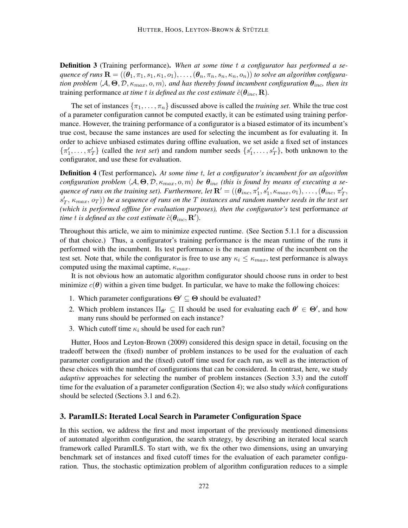Definition 3 (Training performance). *When at some time* t *a configurator has performed a sequence of runs*  $\mathbf{R} = ((\theta_1, \pi_1, s_1, \kappa_1, o_1), \ldots, (\theta_n, \pi_n, s_n, \kappa_n, o_n))$  *to solve an algorithm configuration problem*  $\langle A, \Theta, \mathcal{D}, \kappa_{max}, o, m \rangle$ , and has thereby found incumbent configuration  $\theta_{inc}$ , then its training performance *at time t is defined as the cost estimate*  $\hat{c}(\theta_{inc}, \mathbf{R})$ *.* 

The set of instances  $\{\pi_1, \ldots, \pi_n\}$  discussed above is called the *training set*. While the true cost of a parameter configuration cannot be computed exactly, it can be estimated using training performance. However, the training performance of a configurator is a biased estimator of its incumbent's true cost, because the same instances are used for selecting the incumbent as for evaluating it. In order to achieve unbiased estimates during offline evaluation, we set aside a fixed set of instances  $\{\pi'_1,\ldots,\pi'_T\}$  (called the *test set*) and random number seeds  $\{s'_1,\ldots,s'_T\}$ , both unknown to the configurator, and use these for evaluation.

Definition 4 (Test performance). *At some time* t*, let a configurator's incumbent for an algorithm configuration problem*  $\langle A, \Theta, \mathcal{D}, \kappa_{max}, o, m \rangle$  *be*  $\theta_{inc}$  *(this is found by means of executing a sequence of runs on the training set). Furthermore, let*  $\mathbf{R}' = ((\theta_{inc}, \pi'_1, s'_1, \kappa_{max}, o_1), \ldots, (\theta_{inc}, \pi'_T,$  $(s'_T, \kappa_{max}, o_T)$ ) be a sequence of runs on the T instances and random number seeds in the test set *(which is performed offline for evaluation purposes), then the configurator's* test performance *at*  $t$ *ime*  $t$  *is defined as the cost estimate*  $\hat{c}(\boldsymbol{\theta}_{inc}, \mathbf{R}^{\prime}).$ 

Throughout this article, we aim to minimize expected runtime. (See Section 5.1.1 for a discussion of that choice.) Thus, a configurator's training performance is the mean runtime of the runs it performed with the incumbent. Its test performance is the mean runtime of the incumbent on the test set. Note that, while the configurator is free to use any  $\kappa_i \leq \kappa_{max}$ , test performance is always computed using the maximal captime,  $\kappa_{max}$ .

It is not obvious how an automatic algorithm configurator should choose runs in order to best minimize  $c(\theta)$  within a given time budget. In particular, we have to make the following choices:

- 1. Which parameter configurations  $\Theta' \subseteq \Theta$  should be evaluated?
- 2. Which problem instances  $\Pi_{\theta} \subseteq \Pi$  should be used for evaluating each  $\theta' \in \Theta'$ , and how many runs should be performed on each instance?
- 3. Which cutoff time  $\kappa_i$  should be used for each run?

Hutter, Hoos and Leyton-Brown (2009) considered this design space in detail, focusing on the tradeoff between the (fixed) number of problem instances to be used for the evaluation of each parameter configuration and the (fixed) cutoff time used for each run, as well as the interaction of these choices with the number of configurations that can be considered. In contrast, here, we study *adaptive* approaches for selecting the number of problem instances (Section 3.3) and the cutoff time for the evaluation of a parameter configuration (Section 4); we also study *which* configurations should be selected (Sections 3.1 and 6.2).

### 3. ParamILS: Iterated Local Search in Parameter Configuration Space

In this section, we address the first and most important of the previously mentioned dimensions of automated algorithm configuration, the search strategy, by describing an iterated local search framework called ParamILS. To start with, we fix the other two dimensions, using an unvarying benchmark set of instances and fixed cutoff times for the evaluation of each parameter configuration. Thus, the stochastic optimization problem of algorithm configuration reduces to a simple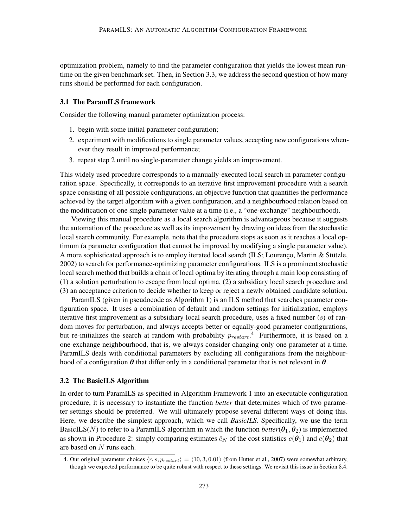optimization problem, namely to find the parameter configuration that yields the lowest mean runtime on the given benchmark set. Then, in Section 3.3, we address the second question of how many runs should be performed for each configuration.

### 3.1 The ParamILS framework

Consider the following manual parameter optimization process:

- 1. begin with some initial parameter configuration;
- 2. experiment with modifications to single parameter values, accepting new configurations whenever they result in improved performance;
- 3. repeat step 2 until no single-parameter change yields an improvement.

This widely used procedure corresponds to a manually-executed local search in parameter configuration space. Specifically, it corresponds to an iterative first improvement procedure with a search space consisting of all possible configurations, an objective function that quantifies the performance achieved by the target algorithm with a given configuration, and a neighbourhood relation based on the modification of one single parameter value at a time (i.e., a "one-exchange" neighbourhood).

Viewing this manual procedure as a local search algorithm is advantageous because it suggests the automation of the procedure as well as its improvement by drawing on ideas from the stochastic local search community. For example, note that the procedure stops as soon as it reaches a local optimum (a parameter configuration that cannot be improved by modifying a single parameter value). A more sophisticated approach is to employ iterated local search (ILS; Lourenço, Martin & Stützle, 2002) to search for performance-optimizing parameter configurations. ILS is a prominent stochastic local search method that builds a chain of local optima by iterating through a main loop consisting of (1) a solution perturbation to escape from local optima, (2) a subsidiary local search procedure and (3) an acceptance criterion to decide whether to keep or reject a newly obtained candidate solution.

ParamILS (given in pseudocode as Algorithm 1) is an ILS method that searches parameter configuration space. It uses a combination of default and random settings for initialization, employs iterative first improvement as a subsidiary local search procedure, uses a fixed number  $(s)$  of random moves for perturbation, and always accepts better or equally-good parameter configurations, but re-initializes the search at random with probability  $p_{restart}$ .<sup>4</sup> Furthermore, it is based on a one-exchange neighbourhood, that is, we always consider changing only one parameter at a time. ParamILS deals with conditional parameters by excluding all configurations from the neighbourhood of a configuration  $\theta$  that differ only in a conditional parameter that is not relevant in  $\theta$ .

### 3.2 The BasicILS Algorithm

In order to turn ParamILS as specified in Algorithm Framework 1 into an executable configuration procedure, it is necessary to instantiate the function *better* that determines which of two parameter settings should be preferred. We will ultimately propose several different ways of doing this. Here, we describe the simplest approach, which we call *BasicILS*. Specifically, we use the term BasicILS(N) to refer to a ParamILS algorithm in which the function *better*( $\theta_1$ ,  $\theta_2$ ) is implemented as shown in Procedure 2: simply comparing estimates  $\hat{c}_N$  of the cost statistics  $c(\theta_1)$  and  $c(\theta_2)$  that are based on N runs each.

<sup>4.</sup> Our original parameter choices  $\langle r, s, p_{restart} \rangle = \langle 10, 3, 0.01 \rangle$  (from Hutter et al., 2007) were somewhat arbitrary, though we expected performance to be quite robust with respect to these settings. We revisit this issue in Section 8.4.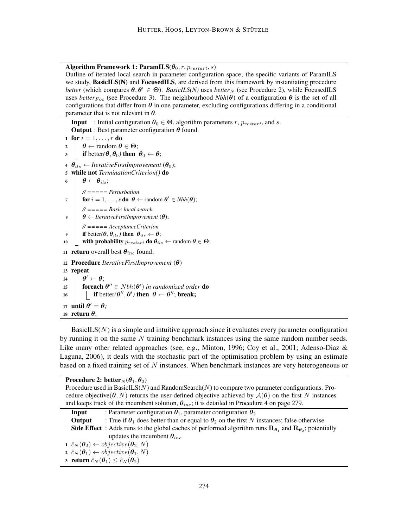Algorithm Framework 1: ParamILS( $\theta_0$ , r,  $p_{restart}$ , s)

Outline of iterated local search in parameter configuration space; the specific variants of ParamILS we study, **BasicILS(N)** and **FocusedILS**, are derived from this framework by instantiating procedure *better* (which compares  $\theta, \theta' \in \Theta$ ). *BasicILS(N)* uses *better*<sub>N</sub> (see Procedure 2), while FocusedILS uses *better*<sub>Foc</sub> (see Procedure 3). The neighbourhood  $Nbh(\theta)$  of a configuration  $\theta$  is the set of all configurations that differ from  $\theta$  in one parameter, excluding configurations differing in a conditional parameter that is not relevant in  $\theta$ .

**Input** : Initial configuration  $\theta_0 \in \Theta$ , algorithm parameters r,  $p_{restart}$ , and s. **Output** : Best parameter configuration  $\theta$  found. 1 for  $i = 1, \ldots, r$  do  $2 \mid \theta \leftarrow \text{random } \theta \in \Theta;$  $\beta$  if better( $\theta$ ,  $\theta$ <sub>0</sub>) then  $\theta$ <sub>0</sub>  $\leftarrow \theta$ ; 4  $\theta_{ils} \leftarrow$  *IterativeFirstImprovement* ( $\theta_0$ ); <sup>5</sup> while not *TerminationCriterion()* do 6 |  $\theta \leftarrow \theta_{ils}$ ; *// ===== Perturbation*  $\tau$  **for**  $i = 1, \ldots, s$  **do**  $\theta \leftarrow$  random  $\theta' \in Nbh(\theta);$ *// ===== Basic local search*  $\theta \leftarrow \text{IterativeFirstImprovement }(\theta);$ *// ===== AcceptanceCriterion* **9** if better $(\theta, \theta_{ils})$  then  $\theta_{ils} \leftarrow \theta$ ; 10 with probability  $p_{restart}$  do  $\theta_{ils} \leftarrow$  random  $\theta \in \Theta$ ; 11 **return** overall best  $\theta_{inc}$  found; <sup>12</sup> Procedure *IterativeFirstImprovement* (θ) <sup>13</sup> repeat  $14$   $\theta' \leftarrow \theta;$ 15 **foreach**  $\theta'' \in Nbh(\theta')$  in randomized order **do** 

16 **if** better( $\theta'', \theta'$ ) then  $\theta \leftarrow \theta''$ ; break; 17 **until**  $\theta' = \theta$ ;

# 18 return  $\theta$ ;

BasicILS $(N)$  is a simple and intuitive approach since it evaluates every parameter configuration by running it on the same  $N$  training benchmark instances using the same random number seeds. Like many other related approaches (see, e.g., Minton, 1996; Coy et al., 2001; Adenso-Diaz & Laguna, 2006), it deals with the stochastic part of the optimisation problem by using an estimate based on a fixed training set of  $N$  instances. When benchmark instances are very heterogeneous or

Procedure 2: better  $N(\theta_1, \theta_2)$ Procedure used in BasicILS(N) and RandomSearch(N) to compare two parameter configurations. Procedure objective( $\theta$ , N) returns the user-defined objective achieved by  $\mathcal{A}(\theta)$  on the first N instances and keeps track of the incumbent solution,  $\theta_{inc}$ ; it is detailed in Procedure 4 on page 279. **Input** : Parameter configuration  $\theta_1$ , parameter configuration  $\theta_2$ **Output** : True if  $\theta_1$  does better than or equal to  $\theta_2$  on the first N instances; false otherwise **Side Effect** : Adds runs to the global caches of performed algorithm runs  $\mathbf{R}_{\theta_1}$  and  $\mathbf{R}_{\theta_2}$ ; potentially updates the incumbent  $\theta_{inc}$  $\hat{c}_N(\theta_2) \leftarrow objective(\theta_2, N)$ 2  $\hat{c}_N(\theta_1) \leftarrow objective(\theta_1, N)$ 3 return  $\hat{c}_N(\theta_1) \leq \hat{c}_N(\theta_2)$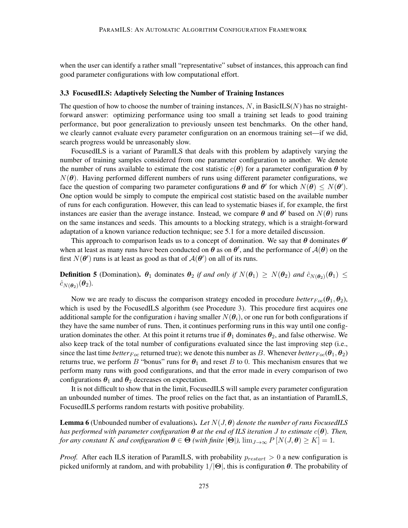when the user can identify a rather small "representative" subset of instances, this approach can find good parameter configurations with low computational effort.

#### 3.3 FocusedILS: Adaptively Selecting the Number of Training Instances

The question of how to choose the number of training instances,  $N$ , in BasicILS $(N)$  has no straightforward answer: optimizing performance using too small a training set leads to good training performance, but poor generalization to previously unseen test benchmarks. On the other hand, we clearly cannot evaluate every parameter configuration on an enormous training set—if we did, search progress would be unreasonably slow.

FocusedILS is a variant of ParamILS that deals with this problem by adaptively varying the number of training samples considered from one parameter configuration to another. We denote the number of runs available to estimate the cost statistic  $c(\theta)$  for a parameter configuration  $\theta$  by  $N(\theta)$ . Having performed different numbers of runs using different parameter configurations, we face the question of comparing two parameter configurations  $\theta$  and  $\theta'$  for which  $N(\theta) \leq N(\theta')$ . One option would be simply to compute the empirical cost statistic based on the available number of runs for each configuration. However, this can lead to systematic biases if, for example, the first instances are easier than the average instance. Instead, we compare  $\theta$  and  $\theta'$  based on  $N(\theta)$  runs on the same instances and seeds. This amounts to a blocking strategy, which is a straight-forward adaptation of a known variance reduction technique; see 5.1 for a more detailed discussion.

This approach to comparison leads us to a concept of domination. We say that  $\theta$  dominates  $\theta'$ when at least as many runs have been conducted on  $\theta$  as on  $\theta'$ , and the performance of  $\mathcal{A}(\theta)$  on the first  $N(\theta')$  runs is at least as good as that of  $\mathcal{A}(\theta')$  on all of its runs.

**Definition 5** (Domination).  $\theta_1$  dominates  $\theta_2$  *if and only if*  $N(\theta_1) \ge N(\theta_2)$  *and*  $\hat{c}_{N(\theta_2)}(\theta_1) \le$  $\hat{c}_{N(\boldsymbol{\theta}_2)}(\boldsymbol{\theta}_2)$ .

Now we are ready to discuss the comparison strategy encoded in procedure *better*<sub>Foc</sub>( $\theta_1, \theta_2$ ), which is used by the FocusedILS algorithm (see Procedure 3). This procedure first acquires one additional sample for the configuration i having smaller  $N(\theta_i)$ , or one run for both configurations if they have the same number of runs. Then, it continues performing runs in this way until one configuration dominates the other. At this point it returns true if  $\theta_1$  dominates  $\theta_2$ , and false otherwise. We also keep track of the total number of configurations evaluated since the last improving step (i.e., since the last time *better*  $_{Foc}$  returned true); we denote this number as B. Whenever *better*  $_{Foc}(\theta_1, \theta_2)$ returns true, we perform B "bonus" runs for  $\theta_1$  and reset B to 0. This mechanism ensures that we perform many runs with good configurations, and that the error made in every comparison of two configurations  $\theta_1$  and  $\theta_2$  decreases on expectation.

It is not difficult to show that in the limit, FocusedILS will sample every parameter configuration an unbounded number of times. The proof relies on the fact that, as an instantiation of ParamILS, FocusedILS performs random restarts with positive probability.

**Lemma 6** (Unbounded number of evaluations). Let  $N(J, \theta)$  denote the number of runs FocusedILS *has performed with parameter configuration* θ *at the end of ILS iteration* J *to estimate* c(θ)*. Then, for any constant* K *and configuration*  $\theta \in \Theta$  *(with finite*  $|\Theta|$ *),*  $\lim_{J \to \infty} P[N(J, \theta) \geq K] = 1$ *.* 

*Proof.* After each ILS iteration of ParamILS, with probability  $p_{restart} > 0$  a new configuration is picked uniformly at random, and with probability  $1/|\Theta|$ , this is configuration  $\theta$ . The probability of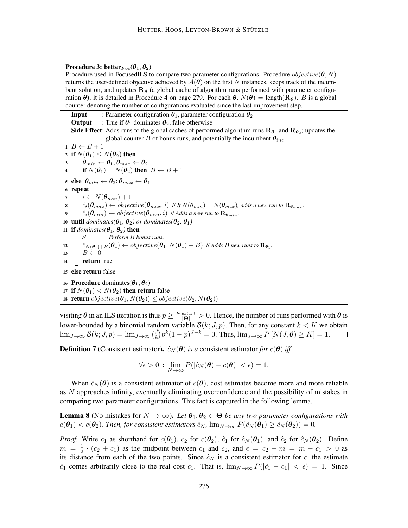Procedure 3: better  $F_{\text{loc}}(\theta_1, \theta_2)$ 

Procedure used in FocusedILS to compare two parameter configurations. Procedure  $objective(\theta, N)$ returns the user-defined objective achieved by  $A(\theta)$  on the first N instances, keeps track of the incumbent solution, and updates  $R_{\theta}$  (a global cache of algorithm runs performed with parameter configuration  $\theta$ ); it is detailed in Procedure 4 on page 279. For each  $\theta$ ,  $N(\theta) = \text{length}(R_{\theta})$ . B is a global counter denoting the number of configurations evaluated since the last improvement step.

**Input** : Parameter configuration  $\theta_1$ , parameter configuration  $\theta_2$ **Output** : True if  $\theta_1$  dominates  $\theta_2$ , false otherwise **Side Effect**: Adds runs to the global caches of performed algorithm runs  ${\bf R}_{\bm{\theta}_1}$  and  ${\bf R}_{\bm{\theta}_2}$ ; updates the global counter B of bonus runs, and potentially the incumbent  $\theta_{inc}$  $1 \ B \leftarrow B + 1$ 2 if  $N(\theta_1) \leq N(\theta_2)$  then  $\begin{array}{c|c} \mathbf{3} & \mathbf{\theta}_{min} \leftarrow \boldsymbol{\theta}_1 ; \boldsymbol{\theta}_{max} \leftarrow \boldsymbol{\theta}_2 \end{array}$ 4 if  $N(\theta_1) = N(\theta_2)$  then  $B \leftarrow B + 1$ 5 else  $\theta_{min} \leftarrow \theta_2; \theta_{max} \leftarrow \theta_1$ <sup>6</sup> repeat 7  $i \leftarrow N(\boldsymbol{\theta}_{min}) + 1$  $\mathbf{s}$   $\hat{c}_i(\theta_{max}) \leftarrow objective(\theta_{max}, i)$  *II* If  $N(\theta_{min}) = N(\theta_{max})$ , adds a new run to  $\mathbf{R}_{\theta_{max}}$ .  $\theta$   $\hat{c}_i(\theta_{min}) \leftarrow objective(\theta_{min}, i)$  // *Adds a new run to*  $\mathbf{R}_{\theta_{min}}$ . 10 **until** dominates( $\theta_1$ ,  $\theta_2$ ) or dominates( $\theta_2$ ,  $\theta_1$ ) 11 if *dominates*( $\theta_1$ ,  $\theta_2$ ) then *// ===== Perform* B *bonus runs.*  $\hat{c}_{N(\bm{\theta}_1)+B}(\bm{\theta}_1) \leftarrow objective(\bm{\theta}_1, N(\bm{\theta}_1)+B)$  // Adds B new runs to  $\mathbf{R}_{\bm{\theta}_1}$ . 13  $B \leftarrow 0$ 14 **return** true <sup>15</sup> else return false 16 **Procedure** dominates( $\theta_1, \theta_2$ ) 17 if  $N(\theta_1) < N(\theta_2)$  then return false 18 return  $objective(\theta_1, N(\theta_2)) \leq objective(\theta_2, N(\theta_2))$ 

visiting  $\theta$  in an ILS iteration is thus  $p \ge \frac{p_{restart}}{|\Theta|} > 0$ . Hence, the number of runs performed with  $\theta$  is lower-bounded by a binomial random variable  $\mathcal{B}(k; J, p)$ . Then, for any constant  $k < K$  we obtain  $\lim_{J\to\infty} \mathcal{B}(k; J, p) = \lim_{J\to\infty} {J \choose k}$  $\int_{k}^{J} p^{k} (1-p)^{J-k} = 0$ . Thus,  $\lim_{J \to \infty} P[N(J, \theta) \geq K] = 1$ .  $\Box$ 

**Definition 7** (Consistent estimator).  $\hat{c}_N(\theta)$  *is a* consistent estimator *for*  $c(\theta)$  *iff* 

$$
\forall \epsilon > 0 \, : \, \lim_{N \to \infty} P(|\hat{c}_N(\boldsymbol{\theta}) - c(\boldsymbol{\theta})| < \epsilon) = 1.
$$

When  $\hat{c}_N(\theta)$  is a consistent estimator of  $c(\theta)$ , cost estimates become more and more reliable as N approaches infinity, eventually eliminating overconfidence and the possibility of mistakes in comparing two parameter configurations. This fact is captured in the following lemma.

**Lemma 8** (No mistakes for  $N \to \infty$ ). Let  $\theta_1, \theta_2 \in \Theta$  be any two parameter configurations with  $c(\theta_1) < c(\theta_2)$ . Then, for consistent estimators  $\hat{c}_N$ ,  $\lim_{N\to\infty} P(\hat{c}_N(\theta_1) \ge \hat{c}_N(\theta_2)) = 0$ .

*Proof.* Write  $c_1$  as shorthand for  $c(\theta_1)$ ,  $c_2$  for  $c(\theta_2)$ ,  $\hat{c}_1$  for  $\hat{c}_N(\theta_1)$ , and  $\hat{c}_2$  for  $\hat{c}_N(\theta_2)$ . Define  $m = \frac{1}{2}$  $\frac{1}{2} \cdot (c_2 + c_1)$  as the midpoint between  $c_1$  and  $c_2$ , and  $\epsilon = c_2 - m = m - c_1 > 0$  as its distance from each of the two points. Since  $\hat{c}_N$  is a consistent estimator for c, the estimate  $\hat{c}_1$  comes arbitrarily close to the real cost  $c_1$ . That is,  $\lim_{N\to\infty} P(|\hat{c}_1 - c_1| < \epsilon) = 1$ . Since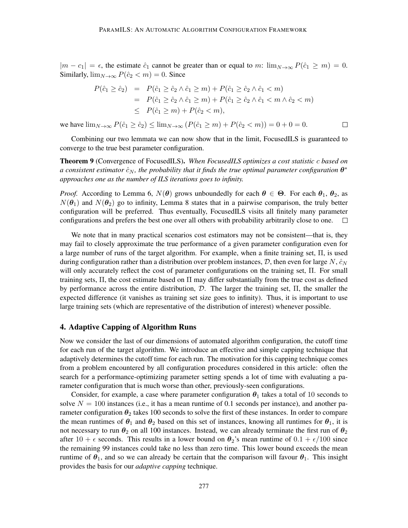$|m - c_1| = \epsilon$ , the estimate  $\hat{c}_1$  cannot be greater than or equal to m:  $\lim_{N \to \infty} P(\hat{c}_1 \ge m) = 0$ . Similarly,  $\lim_{N\to\infty} P(\hat{c}_2 < m) = 0$ . Since

$$
P(\hat{c}_1 \ge \hat{c}_2) = P(\hat{c}_1 \ge \hat{c}_2 \land \hat{c}_1 \ge m) + P(\hat{c}_1 \ge \hat{c}_2 \land \hat{c}_1 < m)
$$
  
= 
$$
P(\hat{c}_1 \ge \hat{c}_2 \land \hat{c}_1 \ge m) + P(\hat{c}_1 \ge \hat{c}_2 \land \hat{c}_1 < m \land \hat{c}_2 < m)
$$
  

$$
\le P(\hat{c}_1 \ge m) + P(\hat{c}_2 < m),
$$

 $\Box$ 

we have  $\lim_{N \to \infty} P(\hat{c}_1 \ge \hat{c}_2) \le \lim_{N \to \infty} (P(\hat{c}_1 \ge m) + P(\hat{c}_2 < m)) = 0 + 0 = 0.$ 

Combining our two lemmata we can now show that in the limit, FocusedILS is guaranteed to converge to the true best parameter configuration.

Theorem 9 (Convergence of FocusedILS). *When FocusedILS optimizes a cost statistic* c *based on* a consistent estimator  $\hat{c}_N$ , the probability that it finds the true optimal parameter configuration  $\bm{\theta}^*$ *approaches one as the number of ILS iterations goes to infinity.*

*Proof.* According to Lemma 6,  $N(\theta)$  grows unboundedly for each  $\theta \in \Theta$ . For each  $\theta_1$ ,  $\theta_2$ , as  $N(\theta_1)$  and  $N(\theta_2)$  go to infinity, Lemma 8 states that in a pairwise comparison, the truly better configuration will be preferred. Thus eventually, FocusedILS visits all finitely many parameter configurations and prefers the best one over all others with probability arbitrarily close to one.

We note that in many practical scenarios cost estimators may not be consistent—that is, they may fail to closely approximate the true performance of a given parameter configuration even for a large number of runs of the target algorithm. For example, when a finite training set, Π, is used during configuration rather than a distribution over problem instances,  $D$ , then even for large N,  $\hat{c}_N$ will only accurately reflect the cost of parameter configurations on the training set, Π. For small training sets, Π, the cost estimate based on Π may differ substantially from the true cost as defined by performance across the entire distribution,  $D$ . The larger the training set,  $\Pi$ , the smaller the expected difference (it vanishes as training set size goes to infinity). Thus, it is important to use large training sets (which are representative of the distribution of interest) whenever possible.

## 4. Adaptive Capping of Algorithm Runs

Now we consider the last of our dimensions of automated algorithm configuration, the cutoff time for each run of the target algorithm. We introduce an effective and simple capping technique that adaptively determines the cutoff time for each run. The motivation for this capping technique comes from a problem encountered by all configuration procedures considered in this article: often the search for a performance-optimizing parameter setting spends a lot of time with evaluating a parameter configuration that is much worse than other, previously-seen configurations.

Consider, for example, a case where parameter configuration  $\theta_1$  takes a total of 10 seconds to solve  $N = 100$  instances (i.e., it has a mean runtime of 0.1 seconds per instance), and another parameter configuration  $\theta_2$  takes 100 seconds to solve the first of these instances. In order to compare the mean runtimes of  $\theta_1$  and  $\theta_2$  based on this set of instances, knowing all runtimes for  $\theta_1$ , it is not necessary to run  $\theta_2$  on all 100 instances. Instead, we can already terminate the first run of  $\theta_2$ after 10 +  $\epsilon$  seconds. This results in a lower bound on  $\theta_2$ 's mean runtime of 0.1 +  $\epsilon/100$  since the remaining 99 instances could take no less than zero time. This lower bound exceeds the mean runtime of  $\theta_1$ , and so we can already be certain that the comparison will favour  $\theta_1$ . This insight provides the basis for our *adaptive capping* technique.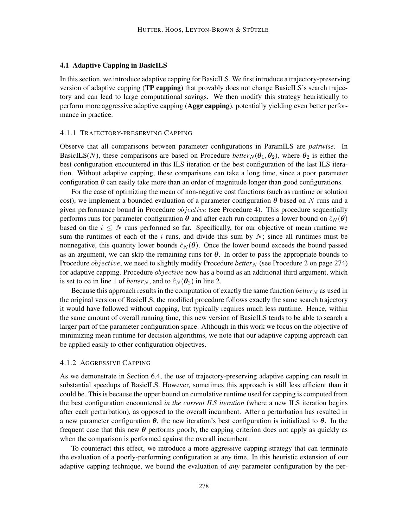### 4.1 Adaptive Capping in BasicILS

In this section, we introduce adaptive capping for BasicILS. We first introduce a trajectory-preserving version of adaptive capping (TP capping) that provably does not change BasicILS's search trajectory and can lead to large computational savings. We then modify this strategy heuristically to perform more aggressive adaptive capping (Aggr capping), potentially yielding even better performance in practice.

### 4.1.1 TRAJECTORY-PRESERVING CAPPING

Observe that all comparisons between parameter configurations in ParamILS are *pairwise*. In BasicILS(N), these comparisons are based on Procedure *better*<sub>N</sub>( $\theta_1$ ,  $\theta_2$ ), where  $\theta_2$  is either the best configuration encountered in this ILS iteration or the best configuration of the last ILS iteration. Without adaptive capping, these comparisons can take a long time, since a poor parameter configuration  $\theta$  can easily take more than an order of magnitude longer than good configurations.

For the case of optimizing the mean of non-negative cost functions (such as runtime or solution cost), we implement a bounded evaluation of a parameter configuration  $\theta$  based on N runs and a given performance bound in Procedure *objective* (see Procedure 4). This procedure sequentially performs runs for parameter configuration  $\theta$  and after each run computes a lower bound on  $\hat{c}_N(\theta)$ based on the  $i \leq N$  runs performed so far. Specifically, for our objective of mean runtime we sum the runtimes of each of the  $i$  runs, and divide this sum by  $N$ ; since all runtimes must be nonnegative, this quantity lower bounds  $\hat{c}_N(\theta)$ . Once the lower bound exceeds the bound passed as an argument, we can skip the remaining runs for  $\theta$ . In order to pass the appropriate bounds to Procedure *objective*, we need to slightly modify Procedure *better*<sub>N</sub> (see Procedure 2 on page 274) for adaptive capping. Procedure *objective* now has a bound as an additional third argument, which is set to  $\infty$  in line 1 of *better*<sub>N</sub>, and to  $\hat{c}_N(\theta_2)$  in line 2.

Because this approach results in the computation of exactly the same function *better*  $N$  as used in the original version of BasicILS, the modified procedure follows exactly the same search trajectory it would have followed without capping, but typically requires much less runtime. Hence, within the same amount of overall running time, this new version of BasicILS tends to be able to search a larger part of the parameter configuration space. Although in this work we focus on the objective of minimizing mean runtime for decision algorithms, we note that our adaptive capping approach can be applied easily to other configuration objectives.

### 4.1.2 AGGRESSIVE CAPPING

As we demonstrate in Section 6.4, the use of trajectory-preserving adaptive capping can result in substantial speedups of BasicILS. However, sometimes this approach is still less efficient than it could be. This is because the upper bound on cumulative runtime used for capping is computed from the best configuration encountered *in the current ILS iteration* (where a new ILS iteration begins after each perturbation), as opposed to the overall incumbent. After a perturbation has resulted in a new parameter configuration  $\theta$ , the new iteration's best configuration is initialized to  $\theta$ . In the frequent case that this new  $\theta$  performs poorly, the capping criterion does not apply as quickly as when the comparison is performed against the overall incumbent.

To counteract this effect, we introduce a more aggressive capping strategy that can terminate the evaluation of a poorly-performing configuration at any time. In this heuristic extension of our adaptive capping technique, we bound the evaluation of *any* parameter configuration by the per-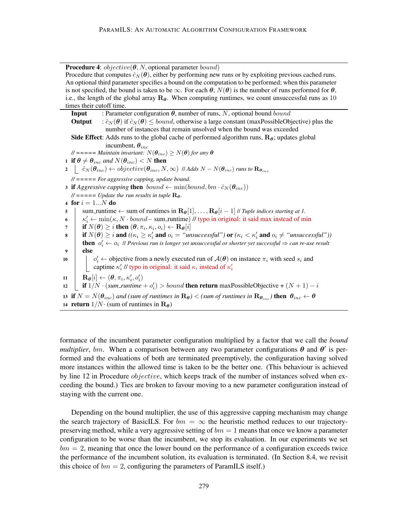**Procedure 4:**  $objective(\theta, N, \text{optional parameter bound})$ Procedure that computes  $\hat{c}_N(\theta)$ , either by performing new runs or by exploiting previous cached runs. An optional third parameter specifies a bound on the computation to be performed; when this parameter is not specified, the bound is taken to be  $\infty$ . For each  $\theta$ ,  $N(\theta)$  is the number of runs performed for  $\theta$ , i.e., the length of the global array  $\mathbf{R}_{\theta}$ . When computing runtimes, we count unsuccessful runs as 10 times their cutoff time. **Input** : Parameter configuration  $\theta$ , number of runs, N, optional bound bound **Output** :  $\hat{c}_N(\theta)$  if  $\hat{c}_N(\theta) \le$  *bound*, otherwise a large constant (maxPossibleObjective) plus the number of instances that remain unsolved when the bound was exceeded **Side Effect:** Adds runs to the global cache of performed algorithm runs,  $\mathbf{R}_{\theta}$ ; updates global incumbent,  $\theta_{inc}$  $\mathcal{U}$  ===== *Maintain invariant:*  $N(\theta_{inc}) \geq N(\theta)$  *for any*  $\theta$ 1 if  $\theta \neq \theta_{inc}$  and  $N(\theta_{inc}) < N$  then  $2 \mid \hat{c}_N(\theta_{inc}) \leftarrow objective(\theta_{inc}, N, \infty)$  // Adds  $N - N(\theta_{inc})$  *runs to*  $\mathbf{R}_{\theta_{inc}}$ *// ===== For aggressive capping, update bound.* 3 **if** *Aggressive capping* **then**  $bound \leftarrow min(bound, bm \cdot \hat{c}_N(\theta_{inc}))$  $\mathcal{U}$  ===== *Update the run results in tuple*  $\mathbf{R}_{\theta}$ *.* 4 for  $i = 1...N$  do  $\mathbf{s}$  sum\_runtime  $\leftarrow$  sum of runtimes in  $\mathbf{R}_{\theta}[1], \ldots, \mathbf{R}_{\theta}[i-1]$  // *Tuple indices starting at 1.* 6  $\left| \kappa'_{i} \leftarrow \min(\kappa, N \cdot bound - \text{sum-runtime}) / l \text{ type in original: it said max instead of min} \right|$  $\bm{\tau} \quad | \quad \textbf{if} \ N(\bm{\theta}) \geq i \textbf{ then } (\bm{\theta}, \pi_i, \kappa_i, o_i) \leftarrow \mathbf{R}_{\bm{\theta}}[i] \text{,}$ **s i** if  $N(\theta) \geq i$  and  $((\kappa_i \geq \kappa'_i \text{ and } o_i = \text{``unsuccessful''}) \text{ or } (\kappa_i < \kappa'_i \text{ and } o_i \neq \text{``unsuccessful''}))$ **then**  $o'_i \leftarrow o_i$  *|| Previous run is longer yet unsuccessful or shorter yet successful*  $\Rightarrow$  *can re-use result* <sup>9</sup> else 10  $\begin{vmatrix} 0 & \cdots & 0 \end{vmatrix}$   $o'_i \leftarrow$  objective from a newly executed run of  $\mathcal{A}(\theta)$  on instance  $\pi_i$  with seed  $s_i$  and captime  $\kappa'_i$  // typo in original: it said  $\kappa_i$  instead of  $\kappa'_i$  $\mathbf{R}_{\boldsymbol{\theta}}[i] \leftarrow (\boldsymbol{\theta}, \pi_i, \kappa'_i, o'_i)$ 12  $\left[\begin{array}{c} \text{if } 1/N \cdot (sum\_runtime + o'_i) > bound \text{ then return } \text{maxPossibleObjective} + (N + 1) - i \end{array}\right]$ 13 if  $N = N(\theta_{inc})$  and (sum of runtimes in  $\mathbf{R}_{\theta}$ ) < (sum of runtimes in  $\mathbf{R}_{\theta_{inc}}$ ) then  $\theta_{inc} \leftarrow \theta$ 14 return  $1/N$ · (sum of runtimes in  $\mathbf{R}_{\theta}$ )

formance of the incumbent parameter configuration multiplied by a factor that we call the *bound multiplier*, bm. When a comparison between any two parameter configurations  $\theta$  and  $\theta'$  is performed and the evaluations of both are terminated preemptively, the configuration having solved more instances within the allowed time is taken to be the better one. (This behaviour is achieved by line 12 in Procedure *objective*, which keeps track of the number of instances solved when exceeding the bound.) Ties are broken to favour moving to a new parameter configuration instead of staying with the current one.

Depending on the bound multiplier, the use of this aggressive capping mechanism may change the search trajectory of BasicILS. For  $bm = \infty$  the heuristic method reduces to our trajectorypreserving method, while a very aggressive setting of  $bm = 1$  means that once we know a parameter configuration to be worse than the incumbent, we stop its evaluation. In our experiments we set  $bm = 2$ , meaning that once the lower bound on the performance of a configuration exceeds twice the performance of the incumbent solution, its evaluation is terminated. (In Section 8.4, we revisit this choice of  $bm = 2$ , configuring the parameters of ParamILS itself.)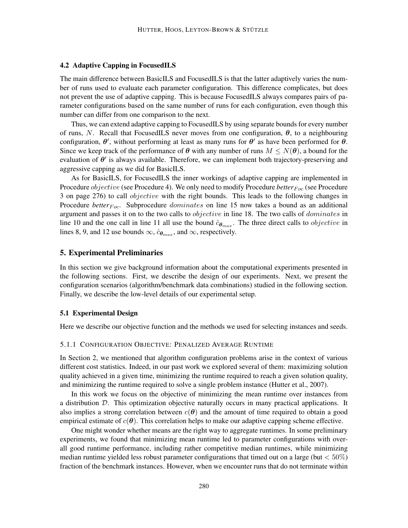### 4.2 Adaptive Capping in FocusedILS

The main difference between BasicILS and FocusedILS is that the latter adaptively varies the number of runs used to evaluate each parameter configuration. This difference complicates, but does not prevent the use of adaptive capping. This is because FocusedILS always compares pairs of parameter configurations based on the same number of runs for each configuration, even though this number can differ from one comparison to the next.

Thus, we can extend adaptive capping to FocusedILS by using separate bounds for every number of runs, N. Recall that FocusedILS never moves from one configuration,  $\theta$ , to a neighbouring configuration,  $\theta'$ , without performing at least as many runs for  $\theta'$  as have been performed for  $\theta$ . Since we keep track of the performance of  $\theta$  with any number of runs  $M \le N(\theta)$ , a bound for the evaluation of  $\theta'$  is always available. Therefore, we can implement both trajectory-preserving and aggressive capping as we did for BasicILS.

As for BasicILS, for FocusedILS the inner workings of adaptive capping are implemented in Procedure *objective* (see Procedure 4). We only need to modify Procedure *better*<sub>Foc</sub> (see Procedure 3 on page 276) to call *objective* with the right bounds. This leads to the following changes in Procedure *better*<sub>Foc</sub>. Subprocedure *dominates* on line 15 now takes a bound as an additional argument and passes it on to the two calls to objective in line 18. The two calls of dominates in line 10 and the one call in line 11 all use the bound  $\hat{c}_{\theta_{max}}$ . The three direct calls to *objective* in lines 8, 9, and 12 use bounds  $\infty$ ,  $\hat{c}_{\theta_{max}}$ , and  $\infty$ , respectively.

### 5. Experimental Preliminaries

In this section we give background information about the computational experiments presented in the following sections. First, we describe the design of our experiments. Next, we present the configuration scenarios (algorithm/benchmark data combinations) studied in the following section. Finally, we describe the low-level details of our experimental setup.

#### 5.1 Experimental Design

Here we describe our objective function and the methods we used for selecting instances and seeds.

### 5.1.1 CONFIGURATION OBJECTIVE: PENALIZED AVERAGE RUNTIME

In Section 2, we mentioned that algorithm configuration problems arise in the context of various different cost statistics. Indeed, in our past work we explored several of them: maximizing solution quality achieved in a given time, minimizing the runtime required to reach a given solution quality, and minimizing the runtime required to solve a single problem instance (Hutter et al., 2007).

In this work we focus on the objective of minimizing the mean runtime over instances from a distribution  $D$ . This optimization objective naturally occurs in many practical applications. It also implies a strong correlation between  $c(\theta)$  and the amount of time required to obtain a good empirical estimate of  $c(\theta)$ . This correlation helps to make our adaptive capping scheme effective.

One might wonder whether means are the right way to aggregate runtimes. In some preliminary experiments, we found that minimizing mean runtime led to parameter configurations with overall good runtime performance, including rather competitive median runtimes, while minimizing median runtime yielded less robust parameter configurations that timed out on a large (but  $< 50\%$ ) fraction of the benchmark instances. However, when we encounter runs that do not terminate within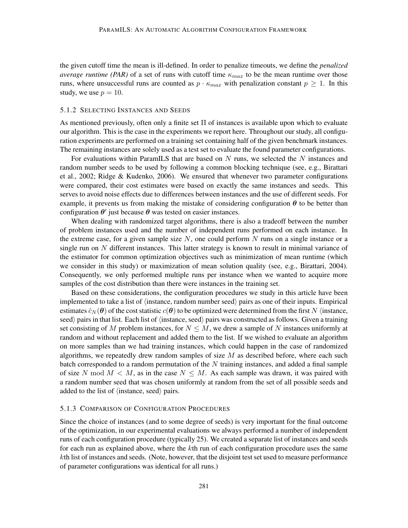the given cutoff time the mean is ill-defined. In order to penalize timeouts, we define the *penalized average runtime (PAR)* of a set of runs with cutoff time  $\kappa_{max}$  to be the mean runtime over those runs, where unsuccessful runs are counted as  $p \cdot \kappa_{max}$  with penalization constant  $p \geq 1$ . In this study, we use  $p = 10$ .

### 5.1.2 SELECTING INSTANCES AND SEEDS

As mentioned previously, often only a finite set Π of instances is available upon which to evaluate our algorithm. This is the case in the experiments we report here. Throughout our study, all configuration experiments are performed on a training set containing half of the given benchmark instances. The remaining instances are solely used as a test set to evaluate the found parameter configurations.

For evaluations within ParamILS that are based on  $N$  runs, we selected the  $N$  instances and random number seeds to be used by following a common blocking technique (see, e.g., Birattari et al., 2002; Ridge & Kudenko, 2006). We ensured that whenever two parameter configurations were compared, their cost estimates were based on exactly the same instances and seeds. This serves to avoid noise effects due to differences between instances and the use of different seeds. For example, it prevents us from making the mistake of considering configuration  $\theta$  to be better than configuration  $\theta'$  just because  $\theta$  was tested on easier instances.

When dealing with randomized target algorithms, there is also a tradeoff between the number of problem instances used and the number of independent runs performed on each instance. In the extreme case, for a given sample size  $N$ , one could perform  $N$  runs on a single instance or a single run on  $N$  different instances. This latter strategy is known to result in minimal variance of the estimator for common optimization objectives such as minimization of mean runtime (which we consider in this study) or maximization of mean solution quality (see, e.g., Birattari, 2004). Consequently, we only performed multiple runs per instance when we wanted to acquire more samples of the cost distribution than there were instances in the training set.

Based on these considerations, the configuration procedures we study in this article have been implemented to take a list of  $\langle$  instance, random number seed $\rangle$  pairs as one of their inputs. Empirical estimates  $\hat{c}_N(\theta)$  of the cost statistic  $c(\theta)$  to be optimized were determined from the first N (instance, seed) pairs in that list. Each list of  $\langle$  instance, seed $\rangle$  pairs was constructed as follows. Given a training set consisting of M problem instances, for  $N \leq M$ , we drew a sample of N instances uniformly at random and without replacement and added them to the list. If we wished to evaluate an algorithm on more samples than we had training instances, which could happen in the case of randomized algorithms, we repeatedly drew random samples of size  $M$  as described before, where each such batch corresponded to a random permutation of the  $N$  training instances, and added a final sample of size N mod  $M < M$ , as in the case  $N \leq M$ . As each sample was drawn, it was paired with a random number seed that was chosen uniformly at random from the set of all possible seeds and added to the list of  $\langle$  instance, seed $\rangle$  pairs.

### 5.1.3 COMPARISON OF CONFIGURATION PROCEDURES

Since the choice of instances (and to some degree of seeds) is very important for the final outcome of the optimization, in our experimental evaluations we always performed a number of independent runs of each configuration procedure (typically 25). We created a separate list of instances and seeds for each run as explained above, where the kth run of each configuration procedure uses the same kth list of instances and seeds. (Note, however, that the disjoint test set used to measure performance of parameter configurations was identical for all runs.)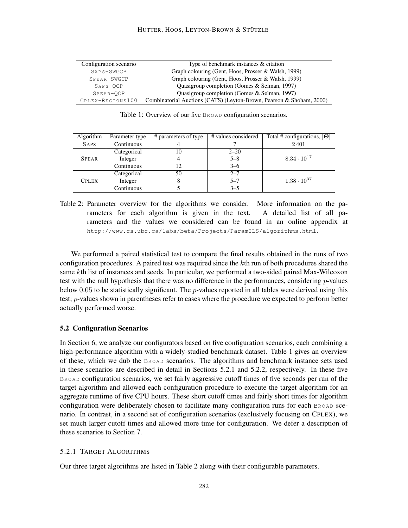| Configuration scenario | Type of benchmark instances $\&$ citation                            |
|------------------------|----------------------------------------------------------------------|
| SAPS-SWGCP             | Graph colouring (Gent, Hoos, Prosser & Walsh, 1999)                  |
| SPEAR-SWGCP            | Graph colouring (Gent, Hoos, Prosser & Walsh, 1999)                  |
| SAPS-OCP               | Quasigroup completion (Gomes & Selman, 1997)                         |
| SPEAR-OCP              | Quasigroup completion (Gomes & Selman, 1997)                         |
| CPLEX-REGIONS100       | Combinatorial Auctions (CATS) (Leyton-Brown, Pearson & Shoham, 2000) |

Table 1: Overview of our five BROAD configuration scenarios.

| Algorithm    | Parameter type | # parameters of type | # values considered | Total # configurations, $ \Theta $ |
|--------------|----------------|----------------------|---------------------|------------------------------------|
| <b>SAPS</b>  | Continuous     |                      |                     | 2401                               |
|              | Categorical    | 10                   | $2 - 20$            |                                    |
| <b>SPEAR</b> | Integer        | 4                    | $5 - 8$             | $8.34 \cdot 10^{17}$               |
|              | Continuous     | 12                   | $3 - 6$             |                                    |
|              | Categorical    | 50                   | $2 - 7$             |                                    |
| <b>CPLEX</b> | Integer        | 8                    | $5 - 7$             | $1.38 \cdot 10^{37}$               |
|              | Continuous     |                      | $3 - 5$             |                                    |

Table 2: Parameter overview for the algorithms we consider. More information on the parameters for each algorithm is given in the text. A detailed list of all parameters and the values we considered can be found in an online appendix at http://www.cs.ubc.ca/labs/beta/Projects/ParamILS/algorithms.html.

We performed a paired statistical test to compare the final results obtained in the runs of two configuration procedures. A paired test was required since the  $k$ th run of both procedures shared the same kth list of instances and seeds. In particular, we performed a two-sided paired Max-Wilcoxon test with the null hypothesis that there was no difference in the performances, considering  $p$ -values below 0.05 to be statistically significant. The p-values reported in all tables were derived using this test; p-values shown in parentheses refer to cases where the procedure we expected to perform better actually performed worse.

### 5.2 Configuration Scenarios

In Section 6, we analyze our configurators based on five configuration scenarios, each combining a high-performance algorithm with a widely-studied benchmark dataset. Table 1 gives an overview of these, which we dub the BROAD scenarios. The algorithms and benchmark instance sets used in these scenarios are described in detail in Sections 5.2.1 and 5.2.2, respectively. In these five BROAD configuration scenarios, we set fairly aggressive cutoff times of five seconds per run of the target algorithm and allowed each configuration procedure to execute the target algorithm for an aggregate runtime of five CPU hours. These short cutoff times and fairly short times for algorithm configuration were deliberately chosen to facilitate many configuration runs for each BROAD scenario. In contrast, in a second set of configuration scenarios (exclusively focusing on CPLEX), we set much larger cutoff times and allowed more time for configuration. We defer a description of these scenarios to Section 7.

## 5.2.1 TARGET ALGORITHMS

Our three target algorithms are listed in Table 2 along with their configurable parameters.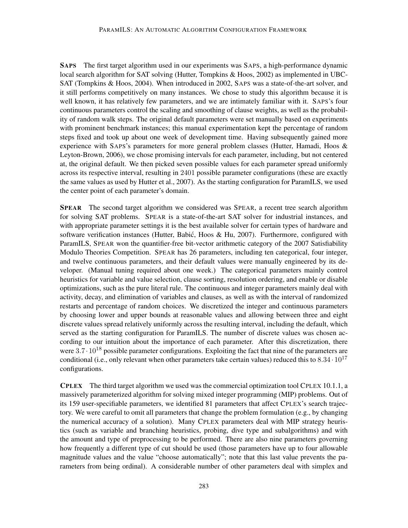SAPS The first target algorithm used in our experiments was SAPS, a high-performance dynamic local search algorithm for SAT solving (Hutter, Tompkins & Hoos, 2002) as implemented in UBC-SAT (Tompkins & Hoos, 2004). When introduced in 2002, SAPS was a state-of-the-art solver, and it still performs competitively on many instances. We chose to study this algorithm because it is well known, it has relatively few parameters, and we are intimately familiar with it. SAPS's four continuous parameters control the scaling and smoothing of clause weights, as well as the probability of random walk steps. The original default parameters were set manually based on experiments with prominent benchmark instances; this manual experimentation kept the percentage of random steps fixed and took up about one week of development time. Having subsequently gained more experience with SAPS's parameters for more general problem classes (Hutter, Hamadi, Hoos & Leyton-Brown, 2006), we chose promising intervals for each parameter, including, but not centered at, the original default. We then picked seven possible values for each parameter spread uniformly across its respective interval, resulting in 2401 possible parameter configurations (these are exactly the same values as used by Hutter et al., 2007). As the starting configuration for ParamILS, we used the center point of each parameter's domain.

SPEAR The second target algorithm we considered was SPEAR, a recent tree search algorithm for solving SAT problems. SPEAR is a state-of-the-art SAT solver for industrial instances, and with appropriate parameter settings it is the best available solver for certain types of hardware and software verification instances (Hutter, Babić, Hoos & Hu, 2007). Furthermore, configured with ParamILS, SPEAR won the quantifier-free bit-vector arithmetic category of the 2007 Satisfiability Modulo Theories Competition. SPEAR has 26 parameters, including ten categorical, four integer, and twelve continuous parameters, and their default values were manually engineered by its developer. (Manual tuning required about one week.) The categorical parameters mainly control heuristics for variable and value selection, clause sorting, resolution ordering, and enable or disable optimizations, such as the pure literal rule. The continuous and integer parameters mainly deal with activity, decay, and elimination of variables and clauses, as well as with the interval of randomized restarts and percentage of random choices. We discretized the integer and continuous parameters by choosing lower and upper bounds at reasonable values and allowing between three and eight discrete values spread relatively uniformly across the resulting interval, including the default, which served as the starting configuration for ParamILS. The number of discrete values was chosen according to our intuition about the importance of each parameter. After this discretization, there were  $3.7 \cdot 10^{18}$  possible parameter configurations. Exploiting the fact that nine of the parameters are conditional (i.e., only relevant when other parameters take certain values) reduced this to  $8.34 \cdot 10^{17}$ configurations.

CPLEX The third target algorithm we used was the commercial optimization tool CPLEX 10.1.1, a massively parameterized algorithm for solving mixed integer programming (MIP) problems. Out of its 159 user-specifiable parameters, we identified 81 parameters that affect CPLEX's search trajectory. We were careful to omit all parameters that change the problem formulation (e.g., by changing the numerical accuracy of a solution). Many CPLEX parameters deal with MIP strategy heuristics (such as variable and branching heuristics, probing, dive type and subalgorithms) and with the amount and type of preprocessing to be performed. There are also nine parameters governing how frequently a different type of cut should be used (those parameters have up to four allowable magnitude values and the value "choose automatically"; note that this last value prevents the parameters from being ordinal). A considerable number of other parameters deal with simplex and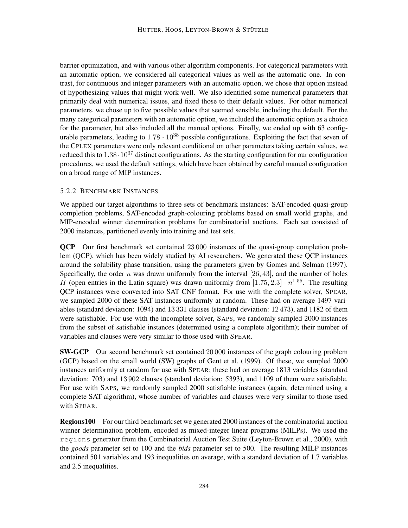barrier optimization, and with various other algorithm components. For categorical parameters with an automatic option, we considered all categorical values as well as the automatic one. In contrast, for continuous and integer parameters with an automatic option, we chose that option instead of hypothesizing values that might work well. We also identified some numerical parameters that primarily deal with numerical issues, and fixed those to their default values. For other numerical parameters, we chose up to five possible values that seemed sensible, including the default. For the many categorical parameters with an automatic option, we included the automatic option as a choice for the parameter, but also included all the manual options. Finally, we ended up with 63 configurable parameters, leading to  $1.78 \cdot 10^{38}$  possible configurations. Exploiting the fact that seven of the CPLEX parameters were only relevant conditional on other parameters taking certain values, we reduced this to  $1.38 \cdot 10^{37}$  distinct configurations. As the starting configuration for our configuration procedures, we used the default settings, which have been obtained by careful manual configuration on a broad range of MIP instances.

## 5.2.2 BENCHMARK INSTANCES

We applied our target algorithms to three sets of benchmark instances: SAT-encoded quasi-group completion problems, SAT-encoded graph-colouring problems based on small world graphs, and MIP-encoded winner determination problems for combinatorial auctions. Each set consisted of 2000 instances, partitioned evenly into training and test sets.

QCP Our first benchmark set contained 23 000 instances of the quasi-group completion problem (QCP), which has been widely studied by AI researchers. We generated these QCP instances around the solubility phase transition, using the parameters given by Gomes and Selman (1997). Specifically, the order n was drawn uniformly from the interval  $[26, 43]$ , and the number of holes H (open entries in the Latin square) was drawn uniformly from  $[1.75, 2.3] \cdot n^{1.55}$ . The resulting QCP instances were converted into SAT CNF format. For use with the complete solver, SPEAR, we sampled 2000 of these SAT instances uniformly at random. These had on average 1497 variables (standard deviation: 1094) and 13 331 clauses (standard deviation: 12 473), and 1182 of them were satisfiable. For use with the incomplete solver, SAPS, we randomly sampled 2000 instances from the subset of satisfiable instances (determined using a complete algorithm); their number of variables and clauses were very similar to those used with SPEAR.

SW-GCP Our second benchmark set contained 20 000 instances of the graph colouring problem (GCP) based on the small world (SW) graphs of Gent et al. (1999). Of these, we sampled 2000 instances uniformly at random for use with SPEAR; these had on average 1813 variables (standard deviation: 703) and 13 902 clauses (standard deviation: 5393), and 1109 of them were satisfiable. For use with SAPS, we randomly sampled 2000 satisfiable instances (again, determined using a complete SAT algorithm), whose number of variables and clauses were very similar to those used with SPEAR.

Regions100 For our third benchmark set we generated 2000 instances of the combinatorial auction winner determination problem, encoded as mixed-integer linear programs (MILPs). We used the regions generator from the Combinatorial Auction Test Suite (Leyton-Brown et al., 2000), with the *goods* parameter set to 100 and the *bids* parameter set to 500. The resulting MILP instances contained 501 variables and 193 inequalities on average, with a standard deviation of 1.7 variables and 2.5 inequalities.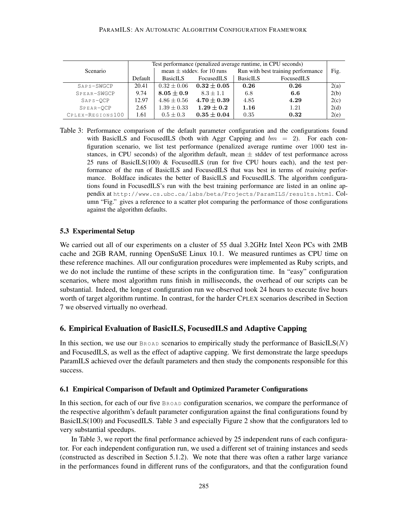#### PARAMILS: AN AUTOMATIC ALGORITHM CONFIGURATION FRAMEWORK

|                  | Test performance (penalized average runtime, in CPU seconds) |                                |               |                                    |            |      |
|------------------|--------------------------------------------------------------|--------------------------------|---------------|------------------------------------|------------|------|
| <b>Scenario</b>  |                                                              | mean $\pm$ stddev. for 10 runs |               | Run with best training performance |            | Fig. |
|                  | Default                                                      | BasicILS<br>FocusedILS         |               | <b>BasicILS</b>                    | FocusedILS |      |
| SAPS-SWGCP       | 20.41                                                        | $0.32 \pm 0.06$                | $0.32\pm0.05$ | 0.26                               | 0.26       | 2(a) |
| SPEAR-SWGCP      | 9.74                                                         | $8.05\pm0.9$                   | $8.3 + 1.1$   | 6.8                                | 6.6        | 2(b) |
| $SAPS-OCP$       | 12.97                                                        | $4.86 \pm 0.56$                | $4.70\pm0.39$ | 4.85                               | 4.29       | 2(c) |
| SPEAR-OCP        | 2.65                                                         | $1.39 \pm 0.33$                | $1.29\pm0.2$  | 1.16                               | 1.21       | 2(d) |
| CPLEX-REGIONS100 | 1.61                                                         | $0.5 \pm 0.3$                  | $0.35\pm0.04$ | 0.35                               | 0.32       | 2(e) |

Table 3: Performance comparison of the default parameter configuration and the configurations found with BasicILS and FocusedILS (both with Aggr Capping and  $bm = 2$ ). For each configuration scenario, we list test performance (penalized average runtime over 1000 test instances, in CPU seconds) of the algorithm default, mean  $\pm$  stddev of test performance across 25 runs of BasicILS(100) & FocusedILS (run for five CPU hours each), and the test performance of the run of BasicILS and FocusedILS that was best in terms of *training* performance. Boldface indicates the better of BasicILS and FocusedILS. The algorithm configurations found in FocusedILS's run with the best training performance are listed in an online appendix at http://www.cs.ubc.ca/labs/beta/Projects/ParamILS/results.html. Column "Fig." gives a reference to a scatter plot comparing the performance of those configurations against the algorithm defaults.

## 5.3 Experimental Setup

We carried out all of our experiments on a cluster of 55 dual 3.2GHz Intel Xeon PCs with 2MB cache and 2GB RAM, running OpenSuSE Linux 10.1. We measured runtimes as CPU time on these reference machines. All our configuration procedures were implemented as Ruby scripts, and we do not include the runtime of these scripts in the configuration time. In "easy" configuration scenarios, where most algorithm runs finish in milliseconds, the overhead of our scripts can be substantial. Indeed, the longest configuration run we observed took 24 hours to execute five hours worth of target algorithm runtime. In contrast, for the harder CPLEX scenarios described in Section 7 we observed virtually no overhead.

# 6. Empirical Evaluation of BasicILS, FocusedILS and Adaptive Capping

In this section, we use our  $B_{ROAD}$  scenarios to empirically study the performance of BasicILS( $N$ ) and FocusedILS, as well as the effect of adaptive capping. We first demonstrate the large speedups ParamILS achieved over the default parameters and then study the components responsible for this success.

### 6.1 Empirical Comparison of Default and Optimized Parameter Configurations

In this section, for each of our five  $\text{Brond}}$  configuration scenarios, we compare the performance of the respective algorithm's default parameter configuration against the final configurations found by BasicILS(100) and FocusedILS. Table 3 and especially Figure 2 show that the configurators led to very substantial speedups.

In Table 3, we report the final performance achieved by 25 independent runs of each configurator. For each independent configuration run, we used a different set of training instances and seeds (constructed as described in Section 5.1.2). We note that there was often a rather large variance in the performances found in different runs of the configurators, and that the configuration found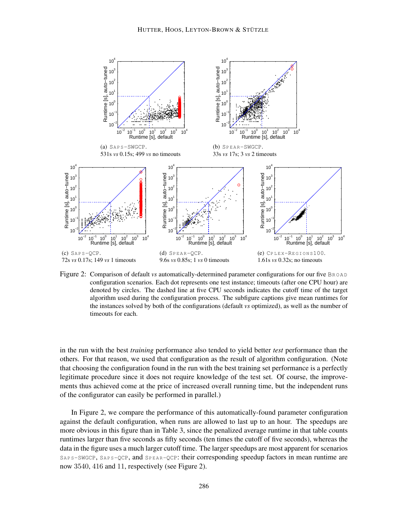

Figure 2: Comparison of default *vs* automatically-determined parameter configurations for our five BROAD configuration scenarios. Each dot represents one test instance; timeouts (after one CPU hour) are denoted by circles. The dashed line at five CPU seconds indicates the cutoff time of the target algorithm used during the configuration process. The subfigure captions give mean runtimes for the instances solved by both of the configurations (default *vs* optimized), as well as the number of timeouts for each.

in the run with the best *training* performance also tended to yield better *test* performance than the others. For that reason, we used that configuration as the result of algorithm configuration. (Note that choosing the configuration found in the run with the best training set performance is a perfectly legitimate procedure since it does not require knowledge of the test set. Of course, the improvements thus achieved come at the price of increased overall running time, but the independent runs of the configurator can easily be performed in parallel.)

In Figure 2, we compare the performance of this automatically-found parameter configuration against the default configuration, when runs are allowed to last up to an hour. The speedups are more obvious in this figure than in Table 3, since the penalized average runtime in that table counts runtimes larger than five seconds as fifty seconds (ten times the cutoff of five seconds), whereas the data in the figure uses a much larger cutoff time. The larger speedups are most apparent for scenarios SAPS-SWGCP, SAPS-QCP, and SPEAR-QCP: their corresponding speedup factors in mean runtime are now 3540, 416 and 11, respectively (see Figure 2).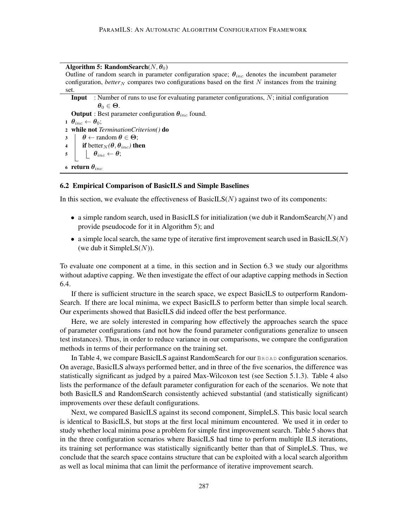## Algorithm 5: RandomSearch $(N, \theta_0)$

Outline of random search in parameter configuration space;  $\theta_{inc}$  denotes the incumbent parameter configuration, *better*<sub>N</sub> compares two configurations based on the first  $N$  instances from the training set.

```
Input : Number of runs to use for evaluating parameter configurations, N; initial configuration
                  \theta_0 \in \Theta.
   Output : Best parameter configuration \theta_{inc} found.
1 \theta_{inc} \leftarrow \theta_0;2 while not TerminationCriterion() do
\theta \leftarrow random \theta \in \Theta;
4 if better<sub>N</sub>(\theta, \theta_{inc}) then
\begin{array}{c|c} 5 & \end{array} \begin{array}{c} \end{array} \theta_{inc} \leftarrow \theta;6 return \theta_{inc}
```
#### 6.2 Empirical Comparison of BasicILS and Simple Baselines

In this section, we evaluate the effectiveness of BasicIL $S(N)$  against two of its components:

- a simple random search, used in BasicILS for initialization (we dub it RandomSearch $(N)$ ) and provide pseudocode for it in Algorithm 5); and
- a simple local search, the same type of iterative first improvement search used in BasicILS( $N$ ) (we dub it SimpleLS $(N)$ ).

To evaluate one component at a time, in this section and in Section 6.3 we study our algorithms without adaptive capping. We then investigate the effect of our adaptive capping methods in Section 6.4.

If there is sufficient structure in the search space, we expect BasicILS to outperform Random-Search. If there are local minima, we expect BasicILS to perform better than simple local search. Our experiments showed that BasicILS did indeed offer the best performance.

Here, we are solely interested in comparing how effectively the approaches search the space of parameter configurations (and not how the found parameter configurations generalize to unseen test instances). Thus, in order to reduce variance in our comparisons, we compare the configuration methods in terms of their performance on the training set.

In Table 4, we compare BasicILS against RandomSearch for our BROAD configuration scenarios. On average, BasicILS always performed better, and in three of the five scenarios, the difference was statistically significant as judged by a paired Max-Wilcoxon test (see Section 5.1.3). Table 4 also lists the performance of the default parameter configuration for each of the scenarios. We note that both BasicILS and RandomSearch consistently achieved substantial (and statistically significant) improvements over these default configurations.

Next, we compared BasicILS against its second component, SimpleLS. This basic local search is identical to BasicILS, but stops at the first local minimum encountered. We used it in order to study whether local minima pose a problem for simple first improvement search. Table 5 shows that in the three configuration scenarios where BasicILS had time to perform multiple ILS iterations, its training set performance was statistically significantly better than that of SimpleLS. Thus, we conclude that the search space contains structure that can be exploited with a local search algorithm as well as local minima that can limit the performance of iterative improvement search.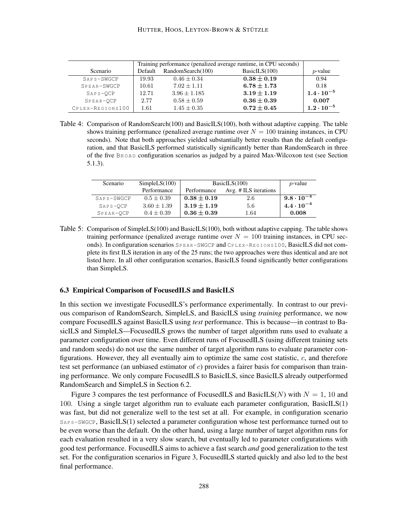|                  |         | Training performance (penalized average runtime, in CPU seconds) |                 |                     |  |  |
|------------------|---------|------------------------------------------------------------------|-----------------|---------------------|--|--|
| Scenario         | Default | RandomSearch(100)<br>BasicILS(100)                               |                 |                     |  |  |
| SAPS-SWGCP       | 19.93   | $0.46 \pm 0.34$                                                  | $0.38\pm0.19$   | 0.94                |  |  |
| SPEAR-SWGCP      | 10.61   | $7.02 \pm 1.11$                                                  | $6.78 \pm 1.73$ | 0.18                |  |  |
| $SAPS-OCP$       | 12.71   | $3.96 \pm 1.185$                                                 | $3.19 \pm 1.19$ | $1.4 \cdot 10^{-5}$ |  |  |
| SPEAR-OCP        | 2.77    | $0.58 \pm 0.59$                                                  | $0.36 \pm 0.39$ | 0.007               |  |  |
| CPLEX-REGIONS100 | 1.61    | $1.45 \pm 0.35$                                                  | $0.72\pm0.45$   | $1.2 \cdot 10^{-5}$ |  |  |

Table 4: Comparison of RandomSearch(100) and BasicILS(100), both without adaptive capping. The table shows training performance (penalized average runtime over  $N = 100$  training instances, in CPU seconds). Note that both approaches yielded substantially better results than the default configuration, and that BasicILS performed statistically significantly better than RandomSearch in three of the five BROAD configuration scenarios as judged by a paired Max-Wilcoxon test (see Section 5.1.3).

| Scenario   | SimpleLS(100)   | BasicILS(100) | $p$ -value            |                     |
|------------|-----------------|---------------|-----------------------|---------------------|
|            | Performance     | Performance   | Avg. # ILS iterations |                     |
| SAPS-SWGCP | $0.5 + 0.39$    | $0.38\pm0.19$ | 2.6                   | $9.8\cdot10^{-4}$   |
| $SAPS-OCP$ | $3.60 \pm 1.39$ | $3.19 + 1.19$ | 5.6                   | $4.4 \cdot 10^{-4}$ |
| SPEAR-OCP  | $0.4 + 0.39$    | $0.36\pm0.39$ | 1.64                  | 0.008               |

Table 5: Comparison of SimpleLS(100) and BasicILS(100), both without adaptive capping. The table shows training performance (penalized average runtime over  $N = 100$  training instances, in CPU seconds). In configuration scenarios SPEAR-SWGCP and CPLEX-REGIONS100, BasicILS did not complete its first ILS iteration in any of the 25 runs; the two approaches were thus identical and are not listed here. In all other configuration scenarios, BasicILS found significantly better configurations than SimpleLS.

### 6.3 Empirical Comparison of FocusedILS and BasicILS

In this section we investigate FocusedILS's performance experimentally. In contrast to our previous comparison of RandomSearch, SimpleLS, and BasicILS using *training* performance, we now compare FocusedILS against BasicILS using *test* performance. This is because—in contrast to BasicILS and SimpleLS—FocusedILS grows the number of target algorithm runs used to evaluate a parameter configuration over time. Even different runs of FocusedILS (using different training sets and random seeds) do not use the same number of target algorithm runs to evaluate parameter configurations. However, they all eventually aim to optimize the same cost statistic,  $c$ , and therefore test set performance (an unbiased estimator of  $c$ ) provides a fairer basis for comparison than training performance. We only compare FocusedILS to BasicILS, since BasicILS already outperformed RandomSearch and SimpleLS in Section 6.2.

Figure 3 compares the test performance of FocusedILS and BasicILS(N) with  $N = 1$ , 10 and 100. Using a single target algorithm run to evaluate each parameter configuration, BasicILS(1) was fast, but did not generalize well to the test set at all. For example, in configuration scenario SAPS-SWGCP, BasicILS(1) selected a parameter configuration whose test performance turned out to be even worse than the default. On the other hand, using a large number of target algorithm runs for each evaluation resulted in a very slow search, but eventually led to parameter configurations with good test performance. FocusedILS aims to achieve a fast search *and* good generalization to the test set. For the configuration scenarios in Figure 3, FocusedILS started quickly and also led to the best final performance.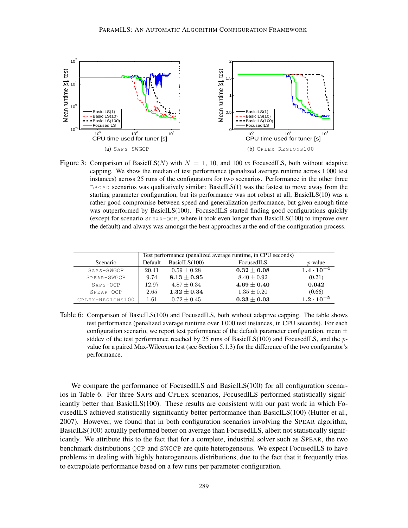

Figure 3: Comparison of BasicILS(N) with  $N = 1$ , 10, and 100 *vs* FocusedILS, both without adaptive capping. We show the median of test performance (penalized average runtime across 1 000 test instances) across 25 runs of the configurators for two scenarios. Performance in the other three  $B_{\text{ROAD}}$  scenarios was qualitatively similar: BasicILS(1) was the fastest to move away from the starting parameter configuration, but its performance was not robust at all; BasicILS(10) was a rather good compromise between speed and generalization performance, but given enough time was outperformed by BasicILS(100). FocusedILS started finding good configurations quickly (except for scenario  $SPEAR-QCP$ , where it took even longer than BasicILS(100) to improve over the default) and always was amongst the best approaches at the end of the configuration process.

|                  |          | Test performance (penalized average runtime, in CPU seconds) |                 |                     |  |
|------------------|----------|--------------------------------------------------------------|-----------------|---------------------|--|
| <b>Scenario</b>  | Default  | BasicILS(100)                                                | FocusedILS      | <i>p</i> -value     |  |
| SAPS-SWGCP       | 20.41    | $0.59 + 0.28$                                                | $0.32 \pm 0.08$ | $1.4 \cdot 10^{-4}$ |  |
| $SPRAR-SWGCP$    | 9.74     | $8.13\pm0.95$                                                | $8.40 + 0.92$   | (0.21)              |  |
| $SAPS-OCP$       | 12.97    | $4.87 + 0.34$                                                | $4.69 \pm 0.40$ | 0.042               |  |
| SPEAR-OCP        | 2.65     | $1.32\pm0.34$                                                | $1.35 \pm 0.20$ | (0.66)              |  |
| CPLEX-REGIONS100 | $1.61\,$ | $0.72 + 0.45$                                                | $0.33 \pm 0.03$ | $1.2 \cdot 10^{-5}$ |  |

Table 6: Comparison of BasicILS(100) and FocusedILS, both without adaptive capping. The table shows test performance (penalized average runtime over 1 000 test instances, in CPU seconds). For each configuration scenario, we report test performance of the default parameter configuration, mean  $\pm$ stddev of the test performance reached by 25 runs of BasicILS(100) and FocusedILS, and the  $p$ value for a paired Max-Wilcoxon test (see Section 5.1.3) for the difference of the two configurator's performance.

We compare the performance of FocusedILS and BasicILS(100) for all configuration scenarios in Table 6. For three SAPS and CPLEX scenarios, FocusedILS performed statistically significantly better than BasicILS(100). These results are consistent with our past work in which FocusedILS achieved statistically significantly better performance than BasicILS(100) (Hutter et al., 2007). However, we found that in both configuration scenarios involving the SPEAR algorithm, BasicILS(100) actually performed better on average than FocusedILS, albeit not statistically significantly. We attribute this to the fact that for a complete, industrial solver such as SPEAR, the two benchmark distributions QCP and SWGCP are quite heterogeneous. We expect FocusedILS to have problems in dealing with highly heterogeneous distributions, due to the fact that it frequently tries to extrapolate performance based on a few runs per parameter configuration.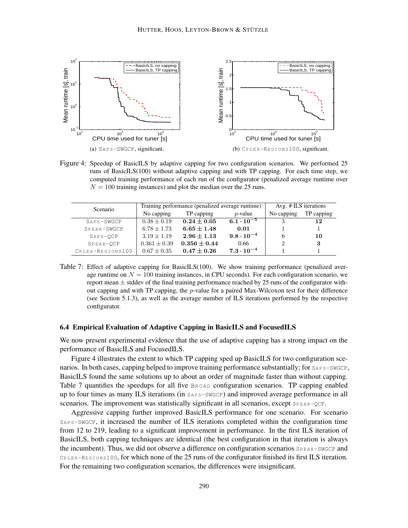

Figure 4: Speedup of BasicILS by adaptive capping for two configuration scenarios. We performed 25 runs of BasicILS(100) without adaptive capping and with TP capping. For each time step, we computed training performance of each run of the configurator (penalized average runtime over  $N = 100$  training instances) and plot the median over the 25 runs.

| Scenario         |                          | Training performance (penalized average runtime) | Avg. # ILS iterations |              |            |
|------------------|--------------------------|--------------------------------------------------|-----------------------|--------------|------------|
|                  | No capping<br>TP capping |                                                  | $p$ -value            | No capping   | TP capping |
| SAPS-SWGCP       | $0.38 + 0.19$            | $0.24 + 0.05$                                    | $6.1 \cdot 10^{-5}$   |              | 12         |
| SPEAR-SWGCP      | $6.78 \pm 1.73$          | $6.65 \pm 1.48$                                  | 0.01                  |              |            |
| $SAPS-OCP$       | $3.19 \pm 1.19$          | $2.96 + 1.13$                                    | $9.8\cdot10^{-4}$     | <sub>0</sub> | 10         |
| SPEAR-OCP        | $0.361 \pm 0.39$         | $0.356 \pm 0.44$                                 | 0.66                  | 2            | 3          |
| CPLEX-REGIONS100 | $0.67 \pm 0.35$          | $0.47\pm0.26$                                    | $7.3\cdot10^{-4}$     |              |            |

Table 7: Effect of adaptive capping for BasicILS(100). We show training performance (penalized average runtime on  $N = 100$  training instances, in CPU seconds). For each configuration scenario, we report mean  $\pm$  stddev of the final training performance reached by 25 runs of the configurator without capping and with TP capping, the  $p$ -value for a paired Max-Wilcoxon test for their difference (see Section 5.1.3), as well as the average number of ILS iterations performed by the respective configurator.

### 6.4 Empirical Evaluation of Adaptive Capping in BasicILS and FocusedILS

We now present experimental evidence that the use of adaptive capping has a strong impact on the performance of BasicILS and FocusedILS.

Figure 4 illustrates the extent to which TP capping sped up BasicILS for two configuration scenarios. In both cases, capping helped to improve training performance substantially; for  $S_{AP} S-SWGCP$ , BasicILS found the same solutions up to about an order of magnitude faster than without capping. Table 7 quantifies the speedups for all five  $B_{\text{ROAD}}$  configuration scenarios. TP capping enabled up to four times as many ILS iterations (in  $S_{AP} = S_{WQ}$ ) and improved average performance in all scenarios. The improvement was statistically significant in all scenarios, except SPEAR-QCP.

Aggressive capping further improved BasicILS performance for one scenario. For scenario SAPS-SWGCP, it increased the number of ILS iterations completed within the configuration time from 12 to 219, leading to a significant improvement in performance. In the first ILS iteration of BasicILS, both capping techniques are identical (the best configuration in that iteration is always the incumbent). Thus, we did not observe a difference on configuration scenarios  $SPEAR-SWGCP$  and  $C_{\text{PLEX-REGIONS 100}}$ , for which none of the 25 runs of the configurator finished its first ILS iteration. For the remaining two configuration scenarios, the differences were insignificant.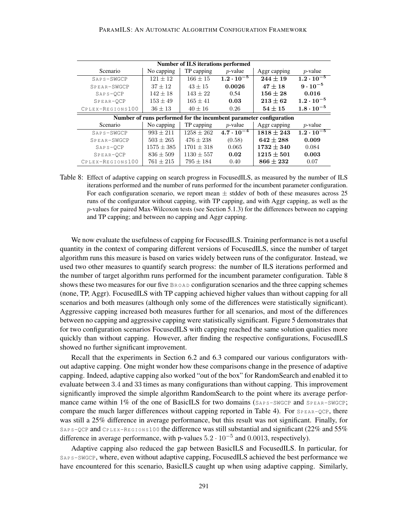| Number of ILS iterations performed |                |                |                     |                                                                    |                     |  |  |  |
|------------------------------------|----------------|----------------|---------------------|--------------------------------------------------------------------|---------------------|--|--|--|
| Scenario                           | No capping     | TP capping     | $p$ -value          | Aggr capping                                                       | $p$ -value          |  |  |  |
| SAPS-SWGCP                         | $121 + 12$     | $166 \pm 15$   | $1.2 \cdot 10^{-5}$ | $244 \pm 19$                                                       | $1.2 \cdot 10^{-5}$ |  |  |  |
| SPEAR-SWGCP                        | $37 + 12$      | $43 \pm 15$    | 0.0026              | $47 + 18$                                                          | $9 \cdot 10^{-5}$   |  |  |  |
| $SAPS-OCP$                         | $142 + 18$     | $143 \pm 22$   | 0.54                | $156\pm28$                                                         | 0.016               |  |  |  |
| SPEAR-OCP                          | $153 \pm 49$   | $165 \pm 41$   | 0.03                | $213\pm62$                                                         | $1.2 \cdot 10^{-5}$ |  |  |  |
| CPLEX-REGIONS100                   | $36 \pm 13$    | $40 \pm 16$    | 0.26                | $54 \pm 15$                                                        | $1.8 \cdot 10^{-5}$ |  |  |  |
|                                    |                |                |                     | Number of runs performed for the incumbent parameter configuration |                     |  |  |  |
| Scenario                           | No capping     | TP capping     | $p$ -value          | Aggr capping                                                       | $p$ -value          |  |  |  |
| SAPS-SWGCP                         | $993 \pm 211$  | $1258 \pm 262$ | $4.7 \cdot 10^{-4}$ | $1818 \pm 243$                                                     | $1.2 \cdot 10^{-5}$ |  |  |  |
| SPEAR-SWGCP                        | $503 \pm 265$  | $476 \pm 238$  | (0.58)              | $642 \pm 288$                                                      | 0.009               |  |  |  |
| $SAPS-OCP$                         | $1575 \pm 385$ | $1701 \pm 318$ | 0.065               | $1732 \pm 340$                                                     | 0.084               |  |  |  |
| SPEAR-OCP                          | $836 \pm 509$  | $1130 \pm 557$ | 0.02                | $1215 \pm 501$                                                     | 0.003               |  |  |  |
| CPLEX-REGIONS100                   | $761 \pm 215$  | $795 \pm 184$  | 0.40                | $866 \pm 232$                                                      | 0.07                |  |  |  |

Table 8: Effect of adaptive capping on search progress in FocusedILS, as measured by the number of ILS iterations performed and the number of runs performed for the incumbent parameter configuration. For each configuration scenario, we report mean  $\pm$  stddev of both of these measures across 25 runs of the configurator without capping, with TP capping, and with Aggr capping, as well as the  $p$ -values for paired Max-Wilcoxon tests (see Section 5.1.3) for the differences between no capping and TP capping; and between no capping and Aggr capping.

We now evaluate the usefulness of capping for FocusedILS. Training performance is not a useful quantity in the context of comparing different versions of FocusedILS, since the number of target algorithm runs this measure is based on varies widely between runs of the configurator. Instead, we used two other measures to quantify search progress: the number of ILS iterations performed and the number of target algorithm runs performed for the incumbent parameter configuration. Table 8 shows these two measures for our five BROAD configuration scenarios and the three capping schemes (none, TP, Aggr). FocusedILS with TP capping achieved higher values than without capping for all scenarios and both measures (although only some of the differences were statistically significant). Aggressive capping increased both measures further for all scenarios, and most of the differences between no capping and aggressive capping were statistically significant. Figure 5 demonstrates that for two configuration scenarios FocusedILS with capping reached the same solution qualities more quickly than without capping. However, after finding the respective configurations, FocusedILS showed no further significant improvement.

Recall that the experiments in Section 6.2 and 6.3 compared our various configurators without adaptive capping. One might wonder how these comparisons change in the presence of adaptive capping. Indeed, adaptive capping also worked "out of the box" for RandomSearch and enabled it to evaluate between 3.4 and 33 times as many configurations than without capping. This improvement significantly improved the simple algorithm RandomSearch to the point where its average performance came within 1% of the one of BasicILS for two domains ( $S_{AP}$  s-SWGCP and  $S_{PER}$ -SWGCP; compare the much larger differences without capping reported in Table 4). For  $S_{PERR-QCP}$ , there was still a 25% difference in average performance, but this result was not significant. Finally, for SAPS-QCP and CPLEX-REGIONS100 the difference was still substantial and significant (22% and 55% difference in average performance, with p-values  $5.2 \cdot 10^{-5}$  and  $0.0013$ , respectively).

Adaptive capping also reduced the gap between BasicILS and FocusedILS. In particular, for SAPS-SWGCP, where, even without adaptive capping, FocusedILS achieved the best performance we have encountered for this scenario, BasicILS caught up when using adaptive capping. Similarly,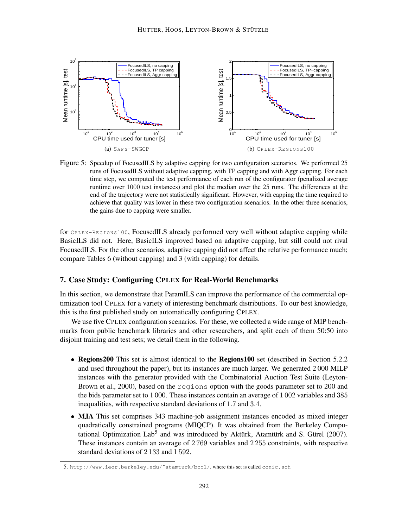

Figure 5: Speedup of FocusedILS by adaptive capping for two configuration scenarios. We performed 25 runs of FocusedILS without adaptive capping, with TP capping and with Aggr capping. For each time step, we computed the test performance of each run of the configurator (penalized average runtime over 1000 test instances) and plot the median over the 25 runs. The differences at the end of the trajectory were not statistically significant. However, with capping the time required to achieve that quality was lower in these two configuration scenarios. In the other three scenarios, the gains due to capping were smaller.

for CPLEX-REGIONS100, FocusedILS already performed very well without adaptive capping while BasicILS did not. Here, BasicILS improved based on adaptive capping, but still could not rival FocusedILS. For the other scenarios, adaptive capping did not affect the relative performance much; compare Tables 6 (without capping) and 3 (with capping) for details.

# 7. Case Study: Configuring CPLEX for Real-World Benchmarks

In this section, we demonstrate that ParamILS can improve the performance of the commercial optimization tool CPLEX for a variety of interesting benchmark distributions. To our best knowledge, this is the first published study on automatically configuring CPLEX.

We use five CPLEX configuration scenarios. For these, we collected a wide range of MIP benchmarks from public benchmark libraries and other researchers, and split each of them 50:50 into disjoint training and test sets; we detail them in the following.

- Regions200 This set is almost identical to the Regions100 set (described in Section 5.2.2) and used throughout the paper), but its instances are much larger. We generated 2 000 MILP instances with the generator provided with the Combinatorial Auction Test Suite (Leyton-Brown et al., 2000), based on the regions option with the goods parameter set to 200 and the bids parameter set to 1 000. These instances contain an average of 1 002 variables and 385 inequalities, with respective standard deviations of 1.7 and 3.4.
- MJA This set comprises 343 machine-job assignment instances encoded as mixed integer quadratically constrained programs (MIQCP). It was obtained from the Berkeley Computational Optimization Lab<sup>5</sup> and was introduced by Aktürk, Atamtürk and S. Gürel (2007). These instances contain an average of 2 769 variables and 2 255 constraints, with respective standard deviations of 2 133 and 1 592.

<sup>5.</sup> http://www.ieor.berkeley.edu/˜atamturk/bcol/, where this set is called conic.sch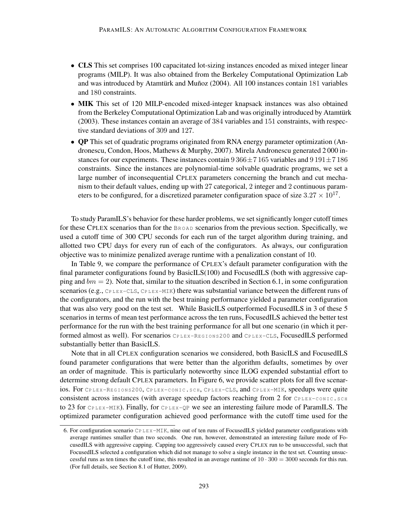- CLS This set comprises 100 capacitated lot-sizing instances encoded as mixed integer linear programs (MILP). It was also obtained from the Berkeley Computational Optimization Lab and was introduced by Atamtürk and Muñoz (2004). All 100 instances contain 181 variables and 180 constraints.
- MIK This set of 120 MILP-encoded mixed-integer knapsack instances was also obtained from the Berkeley Computational Optimization Lab and was originally introduced by Atamtürk (2003). These instances contain an average of 384 variables and 151 constraints, with respective standard deviations of 309 and 127.
- QP This set of quadratic programs originated from RNA energy parameter optimization (Andronescu, Condon, Hoos, Mathews & Murphy, 2007). Mirela Andronescu generated 2 000 instances for our experiments. These instances contain  $9\,366 \pm 7\,165$  variables and  $9\,191 \pm 7\,186$ constraints. Since the instances are polynomial-time solvable quadratic programs, we set a large number of inconsequential CPLEX parameters concerning the branch and cut mechanism to their default values, ending up with 27 categorical, 2 integer and 2 continuous parameters to be configured, for a discretized parameter configuration space of size  $3.27 \times 10^{17}$ .

To study ParamILS's behavior for these harder problems, we set significantly longer cutoff times for these CPLEX scenarios than for the BROAD scenarios from the previous section. Specifically, we used a cutoff time of 300 CPU seconds for each run of the target algorithm during training, and allotted two CPU days for every run of each of the configurators. As always, our configuration objective was to minimize penalized average runtime with a penalization constant of 10.

In Table 9, we compare the performance of CPLEX's default parameter configuration with the final parameter configurations found by BasicILS(100) and FocusedILS (both with aggressive capping and  $bm = 2$ ). Note that, similar to the situation described in Section 6.1, in some configuration scenarios (e.g.,  $C_{\text{PLEX-CLS}}$ ,  $C_{\text{PLEX-MIK}}$ ) there was substantial variance between the different runs of the configurators, and the run with the best training performance yielded a parameter configuration that was also very good on the test set. While BasicILS outperformed FocusedILS in 3 of these 5 scenarios in terms of mean test performance across the ten runs, FocusedILS achieved the better test performance for the run with the best training performance for all but one scenario (in which it performed almost as well). For scenarios CPLEX-REGIONS200 and CPLEX-CLS, FocusedILS performed substantially better than BasicILS.

Note that in all CPLEX configuration scenarios we considered, both BasicILS and FocusedILS found parameter configurations that were better than the algorithm defaults, sometimes by over an order of magnitude. This is particularly noteworthy since ILOG expended substantial effort to determine strong default CPLEX parameters. In Figure 6, we provide scatter plots for all five scenarios. For CPLEX-REGIONS200, CPLEX-CONIC. SCH, CPLEX-CLS, and CPLEX-MIK, speedups were quite consistent across instances (with average speedup factors reaching from 2 for  $C_{\text{PLEX}-\text{CONIC, SCH}}$ to 23 for  $C_{\text{PLEX-MIK}}$ ). Finally, for  $C_{\text{PLEX-QP}}$  we see an interesting failure mode of ParamILS. The optimized parameter configuration achieved good performance with the cutoff time used for the

<sup>6.</sup> For configuration scenario CP LEX-MIK, nine out of ten runs of FocusedILS yielded parameter configurations with average runtimes smaller than two seconds. One run, however, demonstrated an interesting failure mode of FocusedILS with aggressive capping. Capping too aggressively caused every CPLEX run to be unsuccessful, such that FocusedILS selected a configuration which did not manage to solve a single instance in the test set. Counting unsuccessful runs as ten times the cutoff time, this resulted in an average runtime of  $10 \cdot 300 = 3000$  seconds for this run. (For full details, see Section 8.1 of Hutter, 2009).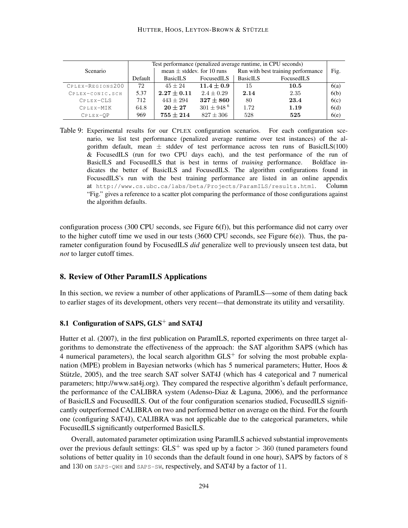|                  | Test performance (penalized average runtime, in CPU seconds) |                                |                          |                                    |            |      |
|------------------|--------------------------------------------------------------|--------------------------------|--------------------------|------------------------------------|------------|------|
| <b>Scenario</b>  |                                                              | mean $\pm$ stddev. for 10 runs |                          | Run with best training performance |            | Fig. |
|                  | Default                                                      | <b>BasicILS</b>                | FocusedILS               | <b>BasicILS</b>                    | FocusedILS |      |
| CPLEX-REGIONS200 | 72                                                           | $45 + 24$                      | $11.4\pm0.9$             | 15                                 | 10.5       | 6(a) |
| CPLEX-CONIC.SCH  | 5.37                                                         | $2.27 \pm 0.11$                | $2.4 + 0.29$             | 2.14                               | 2.35       | 6(b) |
| CPLEX-CLS        | 712                                                          | $443 + 294$                    | $327\pm860$              | 80                                 | 23.4       | 6(c) |
| CPLEX-MIK        | 64.8                                                         | $20\pm27$                      | $301 + 948$ <sup>6</sup> | 1.72                               | 1.19       | 6(d) |
| $CP$ LEX-OP      | 969                                                          | $755 \pm 214$                  | $827 \pm 306$            | 528                                | 525        | 6(e) |

Table 9: Experimental results for our CPLEX configuration scenarios. For each configuration scenario, we list test performance (penalized average runtime over test instances) of the algorithm default, mean  $\pm$  stddev of test performance across ten runs of BasicILS(100) & FocusedILS (run for two CPU days each), and the test performance of the run of BasicILS and FocusedILS that is best in terms of *training* performance. Boldface indicates the better of BasicILS and FocusedILS. The algorithm configurations found in FocusedILS's run with the best training performance are listed in an online appendix at http://www.cs.ubc.ca/labs/beta/Projects/ParamILS/results.html. Column "Fig." gives a reference to a scatter plot comparing the performance of those configurations against the algorithm defaults.

configuration process (300 CPU seconds, see Figure 6(f)), but this performance did not carry over to the higher cutoff time we used in our tests (3600 CPU seconds, see Figure 6(e)). Thus, the parameter configuration found by FocusedILS *did* generalize well to previously unseen test data, but *not* to larger cutoff times.

### 8. Review of Other ParamILS Applications

In this section, we review a number of other applications of ParamILS—some of them dating back to earlier stages of its development, others very recent—that demonstrate its utility and versatility.

### 8.1 Configuration of SAPS,  $GLS^+$  and SAT4J

Hutter et al. (2007), in the first publication on ParamILS, reported experiments on three target algorithms to demonstrate the effectiveness of the approach: the SAT algorithm SAPS (which has 4 numerical parameters), the local search algorithm  $GLS<sup>+</sup>$  for solving the most probable explanation (MPE) problem in Bayesian networks (which has 5 numerical parameters; Hutter, Hoos & Stützle, 2005), and the tree search SAT solver SAT4J (which has 4 categorical and 7 numerical parameters; http://www.sat4j.org). They compared the respective algorithm's default performance, the performance of the CALIBRA system (Adenso-Diaz & Laguna, 2006), and the performance of BasicILS and FocusedILS. Out of the four configuration scenarios studied, FocusedILS significantly outperformed CALIBRA on two and performed better on average on the third. For the fourth one (configuring SAT4J), CALIBRA was not applicable due to the categorical parameters, while FocusedILS significantly outperformed BasicILS.

Overall, automated parameter optimization using ParamILS achieved substantial improvements over the previous default settings:  $GLS^+$  was sped up by a factor  $> 360$  (tuned parameters found solutions of better quality in 10 seconds than the default found in one hour), SAPS by factors of 8 and 130 on SAPS-QWH and SAPS-SW, respectively, and SAT4J by a factor of 11.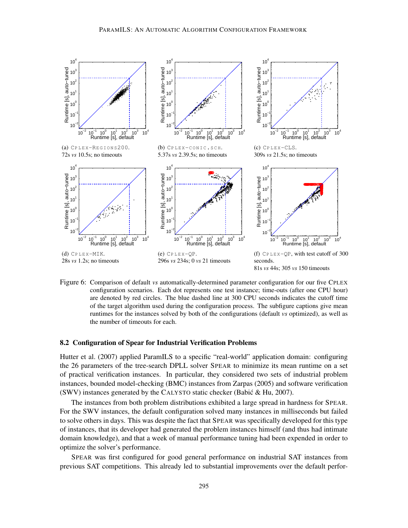

Figure 6: Comparison of default *vs* automatically-determined parameter configuration for our five CPLEX configuration scenarios. Each dot represents one test instance; time-outs (after one CPU hour) are denoted by red circles. The blue dashed line at 300 CPU seconds indicates the cutoff time of the target algorithm used during the configuration process. The subfigure captions give mean runtimes for the instances solved by both of the configurations (default *vs* optimized), as well as the number of timeouts for each.

#### 8.2 Configuration of Spear for Industrial Verification Problems

Hutter et al. (2007) applied ParamILS to a specific "real-world" application domain: configuring the 26 parameters of the tree-search DPLL solver SPEAR to minimize its mean runtime on a set of practical verification instances. In particular, they considered two sets of industrial problem instances, bounded model-checking (BMC) instances from Zarpas (2005) and software verification (SWV) instances generated by the CALYSTO static checker (Babic & Hu, 2007). ´

The instances from both problem distributions exhibited a large spread in hardness for SPEAR. For the SWV instances, the default configuration solved many instances in milliseconds but failed to solve others in days. This was despite the fact that SPEAR was specifically developed for this type of instances, that its developer had generated the problem instances himself (and thus had intimate domain knowledge), and that a week of manual performance tuning had been expended in order to optimize the solver's performance.

SPEAR was first configured for good general performance on industrial SAT instances from previous SAT competitions. This already led to substantial improvements over the default perfor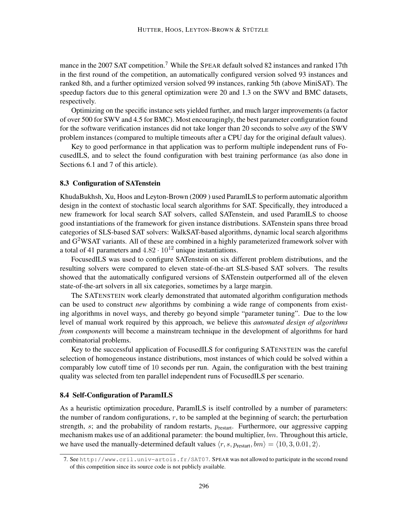mance in the 2007 SAT competition.<sup>7</sup> While the SPEAR default solved 82 instances and ranked 17th in the first round of the competition, an automatically configured version solved 93 instances and ranked 8th, and a further optimized version solved 99 instances, ranking 5th (above MiniSAT). The speedup factors due to this general optimization were 20 and 1.3 on the SWV and BMC datasets, respectively.

Optimizing on the specific instance sets yielded further, and much larger improvements (a factor of over 500 for SWV and 4.5 for BMC). Most encouragingly, the best parameter configuration found for the software verification instances did not take longer than 20 seconds to solve *any* of the SWV problem instances (compared to multiple timeouts after a CPU day for the original default values).

Key to good performance in that application was to perform multiple independent runs of FocusedILS, and to select the found configuration with best training performance (as also done in Sections 6.1 and 7 of this article).

### 8.3 Configuration of SATenstein

KhudaBukhsh, Xu, Hoos and Leyton-Brown (2009 ) used ParamILS to perform automatic algorithm design in the context of stochastic local search algorithms for SAT. Specifically, they introduced a new framework for local search SAT solvers, called SATenstein, and used ParamILS to choose good instantiations of the framework for given instance distributions. SATenstein spans three broad categories of SLS-based SAT solvers: WalkSAT-based algorithms, dynamic local search algorithms and  $G<sup>2</sup>WSAT$  variants. All of these are combined in a highly parameterized framework solver with a total of 41 parameters and  $4.82 \cdot 10^{12}$  unique instantiations.

FocusedILS was used to configure SATenstein on six different problem distributions, and the resulting solvers were compared to eleven state-of-the-art SLS-based SAT solvers. The results showed that the automatically configured versions of SATenstein outperformed all of the eleven state-of-the-art solvers in all six categories, sometimes by a large margin.

The SATENSTEIN work clearly demonstrated that automated algorithm configuration methods can be used to construct *new* algorithms by combining a wide range of components from existing algorithms in novel ways, and thereby go beyond simple "parameter tuning". Due to the low level of manual work required by this approach, we believe this *automated design of algorithms from components* will become a mainstream technique in the development of algorithms for hard combinatorial problems.

Key to the successful application of FocusedILS for configuring SATENSTEIN was the careful selection of homogeneous instance distributions, most instances of which could be solved within a comparably low cutoff time of 10 seconds per run. Again, the configuration with the best training quality was selected from ten parallel independent runs of FocusedILS per scenario.

#### 8.4 Self-Configuration of ParamILS

As a heuristic optimization procedure, ParamILS is itself controlled by a number of parameters: the number of random configurations,  $r$ , to be sampled at the beginning of search; the perturbation strength,  $s$ ; and the probability of random restarts,  $p_{\text{restart}}$ . Furthermore, our aggressive capping mechanism makes use of an additional parameter: the bound multiplier, bm. Throughout this article, we have used the manually-determined default values  $\langle r, s, p_{\text{restart}}, bm \rangle = \langle 10, 3, 0.01, 2 \rangle$ .

<sup>7.</sup> See http://www.cril.univ-artois.fr/SAT07. SPEAR was not allowed to participate in the second round of this competition since its source code is not publicly available.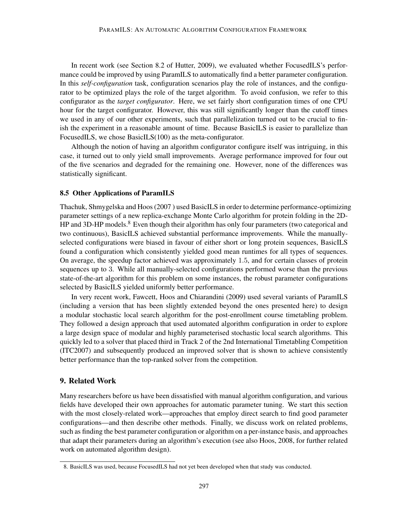In recent work (see Section 8.2 of Hutter, 2009), we evaluated whether FocusedILS's performance could be improved by using ParamILS to automatically find a better parameter configuration. In this *self-configuration* task, configuration scenarios play the role of instances, and the configurator to be optimized plays the role of the target algorithm. To avoid confusion, we refer to this configurator as the *target configurator*. Here, we set fairly short configuration times of one CPU hour for the target configurator. However, this was still significantly longer than the cutoff times we used in any of our other experiments, such that parallelization turned out to be crucial to finish the experiment in a reasonable amount of time. Because BasicILS is easier to parallelize than FocusedILS, we chose BasicILS(100) as the meta-configurator.

Although the notion of having an algorithm configurator configure itself was intriguing, in this case, it turned out to only yield small improvements. Average performance improved for four out of the five scenarios and degraded for the remaining one. However, none of the differences was statistically significant.

#### 8.5 Other Applications of ParamILS

Thachuk, Shmygelska and Hoos (2007 ) used BasicILS in order to determine performance-optimizing parameter settings of a new replica-exchange Monte Carlo algorithm for protein folding in the 2D-HP and 3D-HP models.<sup>8</sup> Even though their algorithm has only four parameters (two categorical and two continuous), BasicILS achieved substantial performance improvements. While the manuallyselected configurations were biased in favour of either short or long protein sequences, BasicILS found a configuration which consistently yielded good mean runtimes for all types of sequences. On average, the speedup factor achieved was approximately 1.5, and for certain classes of protein sequences up to 3. While all manually-selected configurations performed worse than the previous state-of-the-art algorithm for this problem on some instances, the robust parameter configurations selected by BasicILS yielded uniformly better performance.

In very recent work, Fawcett, Hoos and Chiarandini (2009) used several variants of ParamILS (including a version that has been slightly extended beyond the ones presented here) to design a modular stochastic local search algorithm for the post-enrollment course timetabling problem. They followed a design approach that used automated algorithm configuration in order to explore a large design space of modular and highly parameterised stochastic local search algorithms. This quickly led to a solver that placed third in Track 2 of the 2nd International Timetabling Competition (ITC2007) and subsequently produced an improved solver that is shown to achieve consistently better performance than the top-ranked solver from the competition.

# 9. Related Work

Many researchers before us have been dissatisfied with manual algorithm configuration, and various fields have developed their own approaches for automatic parameter tuning. We start this section with the most closely-related work—approaches that employ direct search to find good parameter configurations—and then describe other methods. Finally, we discuss work on related problems, such as finding the best parameter configuration or algorithm on a per-instance basis, and approaches that adapt their parameters during an algorithm's execution (see also Hoos, 2008, for further related work on automated algorithm design).

<sup>8.</sup> BasicILS was used, because FocusedILS had not yet been developed when that study was conducted.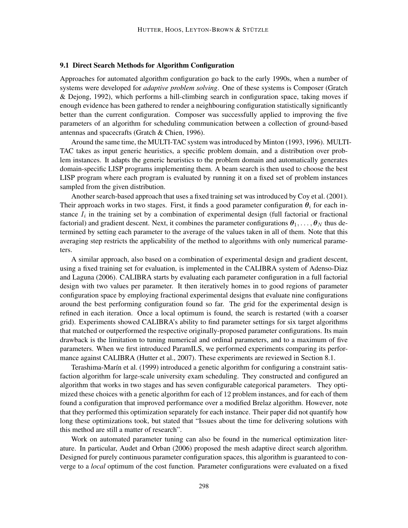### 9.1 Direct Search Methods for Algorithm Configuration

Approaches for automated algorithm configuration go back to the early 1990s, when a number of systems were developed for *adaptive problem solving*. One of these systems is Composer (Gratch & Dejong, 1992), which performs a hill-climbing search in configuration space, taking moves if enough evidence has been gathered to render a neighbouring configuration statistically significantly better than the current configuration. Composer was successfully applied to improving the five parameters of an algorithm for scheduling communication between a collection of ground-based antennas and spacecrafts (Gratch & Chien, 1996).

Around the same time, the MULTI-TAC system was introduced by Minton (1993, 1996). MULTI-TAC takes as input generic heuristics, a specific problem domain, and a distribution over problem instances. It adapts the generic heuristics to the problem domain and automatically generates domain-specific LISP programs implementing them. A beam search is then used to choose the best LISP program where each program is evaluated by running it on a fixed set of problem instances sampled from the given distribution.

Another search-based approach that uses a fixed training set was introduced by Coy et al. (2001). Their approach works in two stages. First, it finds a good parameter configuration  $\theta_i$  for each instance  $I_i$  in the training set by a combination of experimental design (full factorial or fractional factorial) and gradient descent. Next, it combines the parameter configurations  $\theta_1, \ldots, \theta_N$  thus determined by setting each parameter to the average of the values taken in all of them. Note that this averaging step restricts the applicability of the method to algorithms with only numerical parameters.

A similar approach, also based on a combination of experimental design and gradient descent, using a fixed training set for evaluation, is implemented in the CALIBRA system of Adenso-Diaz and Laguna (2006). CALIBRA starts by evaluating each parameter configuration in a full factorial design with two values per parameter. It then iteratively homes in to good regions of parameter configuration space by employing fractional experimental designs that evaluate nine configurations around the best performing configuration found so far. The grid for the experimental design is refined in each iteration. Once a local optimum is found, the search is restarted (with a coarser grid). Experiments showed CALIBRA's ability to find parameter settings for six target algorithms that matched or outperformed the respective originally-proposed parameter configurations. Its main drawback is the limitation to tuning numerical and ordinal parameters, and to a maximum of five parameters. When we first introduced ParamILS, we performed experiments comparing its performance against CALIBRA (Hutter et al., 2007). These experiments are reviewed in Section 8.1.

Terashima-Marín et al. (1999) introduced a genetic algorithm for configuring a constraint satisfaction algorithm for large-scale university exam scheduling. They constructed and configured an algorithm that works in two stages and has seven configurable categorical parameters. They optimized these choices with a genetic algorithm for each of 12 problem instances, and for each of them found a configuration that improved performance over a modified Brelaz algorithm. However, note that they performed this optimization separately for each instance. Their paper did not quantify how long these optimizations took, but stated that "Issues about the time for delivering solutions with this method are still a matter of research".

Work on automated parameter tuning can also be found in the numerical optimization literature. In particular, Audet and Orban (2006) proposed the mesh adaptive direct search algorithm. Designed for purely continuous parameter configuration spaces, this algorithm is guaranteed to converge to a *local* optimum of the cost function. Parameter configurations were evaluated on a fixed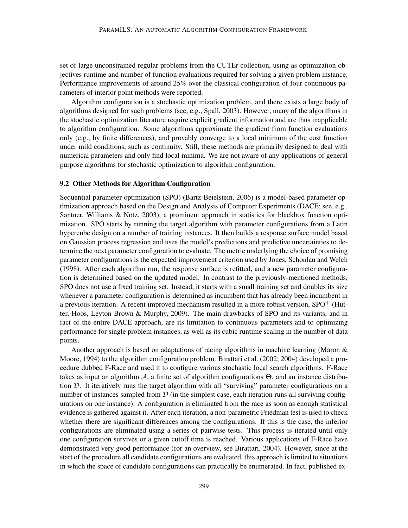set of large unconstrained regular problems from the CUTEr collection, using as optimization objectives runtime and number of function evaluations required for solving a given problem instance. Performance improvements of around 25% over the classical configuration of four continuous parameters of interior point methods were reported.

Algorithm configuration is a stochastic optimization problem, and there exists a large body of algorithms designed for such problems (see, e.g., Spall, 2003). However, many of the algorithms in the stochastic optimization literature require explicit gradient information and are thus inapplicable to algorithm configuration. Some algorithms approximate the gradient from function evaluations only (e.g., by finite differences), and provably converge to a local minimum of the cost function under mild conditions, such as continuity. Still, these methods are primarily designed to deal with numerical parameters and only find local minima. We are not aware of any applications of general purpose algorithms for stochastic optimization to algorithm configuration.

### 9.2 Other Methods for Algorithm Configuration

Sequential parameter optimization (SPO) (Bartz-Beielstein, 2006) is a model-based parameter optimization approach based on the Design and Analysis of Computer Experiments (DACE; see, e.g., Santner, Williams & Notz, 2003), a prominent approach in statistics for blackbox function optimization. SPO starts by running the target algorithm with parameter configurations from a Latin hypercube design on a number of training instances. It then builds a response surface model based on Gaussian process regression and uses the model's predictions and predictive uncertainties to determine the next parameter configuration to evaluate. The metric underlying the choice of promising parameter configurations is the expected improvement criterion used by Jones, Schonlau and Welch (1998). After each algorithm run, the response surface is refitted, and a new parameter configuration is determined based on the updated model. In contrast to the previously-mentioned methods, SPO does not use a fixed training set. Instead, it starts with a small training set and doubles its size whenever a parameter configuration is determined as incumbent that has already been incumbent in a previous iteration. A recent improved mechanism resulted in a more robust version,  $SPO<sup>+</sup>$  (Hutter, Hoos, Leyton-Brown & Murphy, 2009). The main drawbacks of SPO and its variants, and in fact of the entire DACE approach, are its limitation to continuous parameters and to optimizing performance for single problem instances, as well as its cubic runtime scaling in the number of data points.

Another approach is based on adaptations of racing algorithms in machine learning (Maron & Moore, 1994) to the algorithm configuration problem. Birattari et al. (2002; 2004) developed a procedure dubbed F-Race and used it to configure various stochastic local search algorithms. F-Race takes as input an algorithm  $A$ , a finite set of algorithm configurations  $\Theta$ , and an instance distribution D. It iteratively runs the target algorithm with all "surviving" parameter configurations on a number of instances sampled from  $D$  (in the simplest case, each iteration runs all surviving configurations on one instance). A configuration is eliminated from the race as soon as enough statistical evidence is gathered against it. After each iteration, a non-parametric Friedman test is used to check whether there are significant differences among the configurations. If this is the case, the inferior configurations are eliminated using a series of pairwise tests. This process is iterated until only one configuration survives or a given cutoff time is reached. Various applications of F-Race have demonstrated very good performance (for an overview, see Birattari, 2004). However, since at the start of the procedure all candidate configurations are evaluated, this approach is limited to situations in which the space of candidate configurations can practically be enumerated. In fact, published ex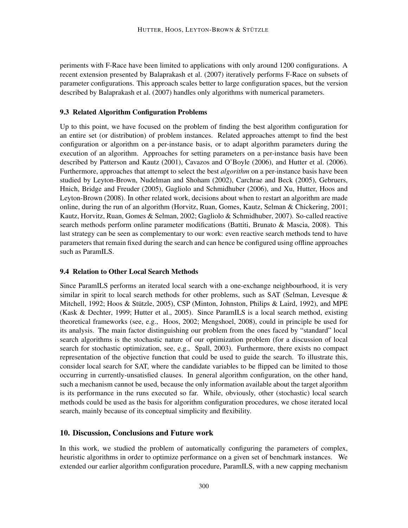periments with F-Race have been limited to applications with only around 1200 configurations. A recent extension presented by Balaprakash et al. (2007) iteratively performs F-Race on subsets of parameter configurations. This approach scales better to large configuration spaces, but the version described by Balaprakash et al. (2007) handles only algorithms with numerical parameters.

### 9.3 Related Algorithm Configuration Problems

Up to this point, we have focused on the problem of finding the best algorithm configuration for an entire set (or distribution) of problem instances. Related approaches attempt to find the best configuration or algorithm on a per-instance basis, or to adapt algorithm parameters during the execution of an algorithm. Approaches for setting parameters on a per-instance basis have been described by Patterson and Kautz (2001), Cavazos and O'Boyle (2006), and Hutter et al. (2006). Furthermore, approaches that attempt to select the best *algorithm* on a per-instance basis have been studied by Leyton-Brown, Nudelman and Shoham (2002), Carchrae and Beck (2005), Gebruers, Hnich, Bridge and Freuder (2005), Gagliolo and Schmidhuber (2006), and Xu, Hutter, Hoos and Leyton-Brown (2008). In other related work, decisions about when to restart an algorithm are made online, during the run of an algorithm (Horvitz, Ruan, Gomes, Kautz, Selman & Chickering, 2001; Kautz, Horvitz, Ruan, Gomes & Selman, 2002; Gagliolo & Schmidhuber, 2007). So-called reactive search methods perform online parameter modifications (Battiti, Brunato & Mascia, 2008). This last strategy can be seen as complementary to our work: even reactive search methods tend to have parameters that remain fixed during the search and can hence be configured using offline approaches such as ParamILS.

## 9.4 Relation to Other Local Search Methods

Since ParamILS performs an iterated local search with a one-exchange neighbourhood, it is very similar in spirit to local search methods for other problems, such as SAT (Selman, Levesque  $\&$ Mitchell, 1992; Hoos & Stützle, 2005), CSP (Minton, Johnston, Philips & Laird, 1992), and MPE (Kask & Dechter, 1999; Hutter et al., 2005). Since ParamILS is a local search method, existing theoretical frameworks (see, e.g., Hoos, 2002; Mengshoel, 2008), could in principle be used for its analysis. The main factor distinguishing our problem from the ones faced by "standard" local search algorithms is the stochastic nature of our optimization problem (for a discussion of local search for stochastic optimization, see, e.g., Spall, 2003). Furthermore, there exists no compact representation of the objective function that could be used to guide the search. To illustrate this, consider local search for SAT, where the candidate variables to be flipped can be limited to those occurring in currently-unsatisfied clauses. In general algorithm configuration, on the other hand, such a mechanism cannot be used, because the only information available about the target algorithm is its performance in the runs executed so far. While, obviously, other (stochastic) local search methods could be used as the basis for algorithm configuration procedures, we chose iterated local search, mainly because of its conceptual simplicity and flexibility.

### 10. Discussion, Conclusions and Future work

In this work, we studied the problem of automatically configuring the parameters of complex, heuristic algorithms in order to optimize performance on a given set of benchmark instances. We extended our earlier algorithm configuration procedure, ParamILS, with a new capping mechanism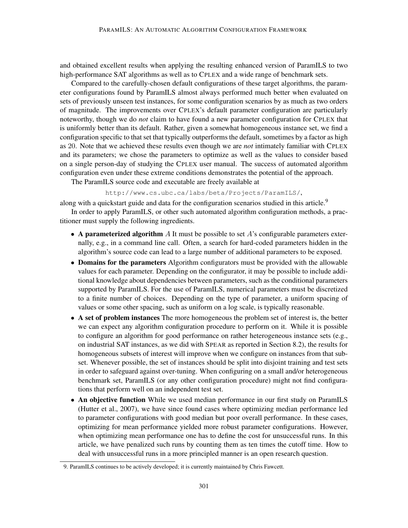and obtained excellent results when applying the resulting enhanced version of ParamILS to two high-performance SAT algorithms as well as to CPLEX and a wide range of benchmark sets.

Compared to the carefully-chosen default configurations of these target algorithms, the parameter configurations found by ParamILS almost always performed much better when evaluated on sets of previously unseen test instances, for some configuration scenarios by as much as two orders of magnitude. The improvements over CPLEX's default parameter configuration are particularly noteworthy, though we do *not* claim to have found a new parameter configuration for CPLEX that is uniformly better than its default. Rather, given a somewhat homogeneous instance set, we find a configuration specific to that set that typically outperforms the default, sometimes by a factor as high as 20. Note that we achieved these results even though we are *not* intimately familiar with CPLEX and its parameters; we chose the parameters to optimize as well as the values to consider based on a single person-day of studying the CPLEX user manual. The success of automated algorithm configuration even under these extreme conditions demonstrates the potential of the approach.

The ParamILS source code and executable are freely available at

http://www.cs.ubc.ca/labs/beta/Projects/ParamILS/,

along with a quickstart guide and data for the configuration scenarios studied in this article.<sup>9</sup>

In order to apply ParamILS, or other such automated algorithm configuration methods, a practitioner must supply the following ingredients.

- A parameterized algorithm  $A$  It must be possible to set  $A$ 's configurable parameters externally, e.g., in a command line call. Often, a search for hard-coded parameters hidden in the algorithm's source code can lead to a large number of additional parameters to be exposed.
- Domains for the parameters Algorithm configurators must be provided with the allowable values for each parameter. Depending on the configurator, it may be possible to include additional knowledge about dependencies between parameters, such as the conditional parameters supported by ParamILS. For the use of ParamILS, numerical parameters must be discretized to a finite number of choices. Depending on the type of parameter, a uniform spacing of values or some other spacing, such as uniform on a log scale, is typically reasonable.
- A set of problem instances The more homogeneous the problem set of interest is, the better we can expect any algorithm configuration procedure to perform on it. While it is possible to configure an algorithm for good performance on rather heterogeneous instance sets (e.g., on industrial SAT instances, as we did with SPEAR as reported in Section 8.2), the results for homogeneous subsets of interest will improve when we configure on instances from that subset. Whenever possible, the set of instances should be split into disjoint training and test sets in order to safeguard against over-tuning. When configuring on a small and/or heterogeneous benchmark set, ParamILS (or any other configuration procedure) might not find configurations that perform well on an independent test set.
- An objective function While we used median performance in our first study on ParamILS (Hutter et al., 2007), we have since found cases where optimizing median performance led to parameter configurations with good median but poor overall performance. In these cases, optimizing for mean performance yielded more robust parameter configurations. However, when optimizing mean performance one has to define the cost for unsuccessful runs. In this article, we have penalized such runs by counting them as ten times the cutoff time. How to deal with unsuccessful runs in a more principled manner is an open research question.

<sup>9.</sup> ParamILS continues to be actively developed; it is currently maintained by Chris Fawcett.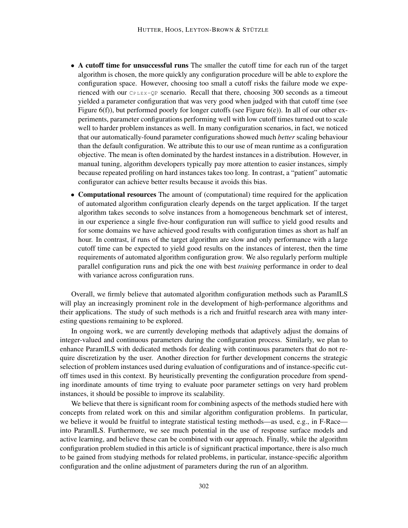- A cutoff time for unsuccessful runs The smaller the cutoff time for each run of the target algorithm is chosen, the more quickly any configuration procedure will be able to explore the configuration space. However, choosing too small a cutoff risks the failure mode we experienced with our  $CPEE X-QP$  scenario. Recall that there, choosing 300 seconds as a timeout yielded a parameter configuration that was very good when judged with that cutoff time (see Figure 6(f)), but performed poorly for longer cutoffs (see Figure 6(e)). In all of our other experiments, parameter configurations performing well with low cutoff times turned out to scale well to harder problem instances as well. In many configuration scenarios, in fact, we noticed that our automatically-found parameter configurations showed much *better* scaling behaviour than the default configuration. We attribute this to our use of mean runtime as a configuration objective. The mean is often dominated by the hardest instances in a distribution. However, in manual tuning, algorithm developers typically pay more attention to easier instances, simply because repeated profiling on hard instances takes too long. In contrast, a "patient" automatic configurator can achieve better results because it avoids this bias.
- Computational resources The amount of (computational) time required for the application of automated algorithm configuration clearly depends on the target application. If the target algorithm takes seconds to solve instances from a homogeneous benchmark set of interest, in our experience a single five-hour configuration run will suffice to yield good results and for some domains we have achieved good results with configuration times as short as half an hour. In contrast, if runs of the target algorithm are slow and only performance with a large cutoff time can be expected to yield good results on the instances of interest, then the time requirements of automated algorithm configuration grow. We also regularly perform multiple parallel configuration runs and pick the one with best *training* performance in order to deal with variance across configuration runs.

Overall, we firmly believe that automated algorithm configuration methods such as ParamILS will play an increasingly prominent role in the development of high-performance algorithms and their applications. The study of such methods is a rich and fruitful research area with many interesting questions remaining to be explored.

In ongoing work, we are currently developing methods that adaptively adjust the domains of integer-valued and continuous parameters during the configuration process. Similarly, we plan to enhance ParamILS with dedicated methods for dealing with continuous parameters that do not require discretization by the user. Another direction for further development concerns the strategic selection of problem instances used during evaluation of configurations and of instance-specific cutoff times used in this context. By heuristically preventing the configuration procedure from spending inordinate amounts of time trying to evaluate poor parameter settings on very hard problem instances, it should be possible to improve its scalability.

We believe that there is significant room for combining aspects of the methods studied here with concepts from related work on this and similar algorithm configuration problems. In particular, we believe it would be fruitful to integrate statistical testing methods—as used, e.g., in F-Race into ParamILS. Furthermore, we see much potential in the use of response surface models and active learning, and believe these can be combined with our approach. Finally, while the algorithm configuration problem studied in this article is of significant practical importance, there is also much to be gained from studying methods for related problems, in particular, instance-specific algorithm configuration and the online adjustment of parameters during the run of an algorithm.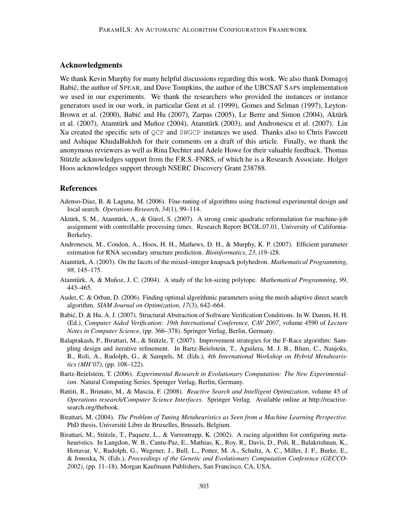# Acknowledgments

We thank Kevin Murphy for many helpful discussions regarding this work. We also thank Domagoj Babić, the author of SPEAR, and Dave Tompkins, the author of the UBCSAT SAPS implementation we used in our experiments. We thank the researchers who provided the instances or instance generators used in our work, in particular Gent et al. (1999), Gomes and Selman (1997), Leyton-Brown et al.  $(2000)$ , Babić and Hu  $(2007)$ , Zarpas  $(2005)$ , Le Berre and Simon  $(2004)$ , Aktürk et al. (2007), Atamtürk and Muñoz (2004), Atamtürk (2003), and Andronescu et al. (2007). Lin Xu created the specific sets of QCP and SWGCP instances we used. Thanks also to Chris Fawcett and Ashique KhudaBukhsh for their comments on a draft of this article. Finally, we thank the anonymous reviewers as well as Rina Dechter and Adele Howe for their valuable feedback. Thomas Stützle acknowledges support from the F.R.S.-FNRS, of which he is a Research Associate. Holger Hoos acknowledges support through NSERC Discovery Grant 238788.

### References

- Adenso-Diaz, B. & Laguna, M. (2006). Fine-tuning of algorithms using fractional experimental design and local search. *Operations Research*, *54*(1), 99–114.
- Aktürk, S. M., Atamtürk, A., & Gürel, S. (2007). A strong conic quadratic reformulation for machine-job assignment with controllable processing times. Research Report BCOL.07.01, University of California-Berkeley.
- Andronescu, M., Condon, A., Hoos, H. H., Mathews, D. H., & Murphy, K. P. (2007). Efficient parameter estimation for RNA secondary structure prediction. *Bioinformatics*, *23*, i19–i28.
- Atamtürk, A. (2003). On the facets of the mixed–integer knapsack polyhedron. *Mathematical Programming*, *98*, 145–175.
- Atamtürk, A. & Muñoz, J. C. (2004). A study of the lot-sizing polytope. *Mathematical Programming*, 99, 443–465.
- Audet, C. & Orban, D. (2006). Finding optimal algorithmic parameters using the mesh adaptive direct search algorithm. *SIAM Journal on Optimization*, *17*(3), 642–664.
- Babić, D. & Hu, A. J. (2007). Structural Abstraction of Software Verification Conditions. In W. Damm, H. H. (Ed.), *Computer Aided Verification: 19th International Conference, CAV 2007*, volume 4590 of *Lecture Notes in Computer Science*, (pp. 366–378). Springer Verlag, Berlin, Germany.
- Balaprakash, P., Birattari, M., & Stützle, T. (2007). Improvement strategies for the F-Race algorithm: Sampling design and iterative refinement. In Bartz-Beielstein, T., Aguilera, M. J. B., Blum, C., Naujoks, B., Roli, A., Rudolph, G., & Sampels, M. (Eds.), *4th International Workshop on Hybrid Metaheuristics (MH'07)*, (pp. 108–122).
- Bartz-Beielstein, T. (2006). *Experimental Research in Evolutionary Computation: The New Experimentalism*. Natural Computing Series. Springer Verlag, Berlin, Germany.
- Battiti, R., Brunato, M., & Mascia, F. (2008). *Reactive Search and Intelligent Optimization*, volume 45 of *Operations research/Computer Science Interfaces*. Springer Verlag. Available online at http://reactivesearch.org/thebook.
- Birattari, M. (2004). *The Problem of Tuning Metaheuristics as Seen from a Machine Learning Perspective*. PhD thesis, Université Libre de Bruxelles, Brussels, Belgium.
- Birattari, M., Stützle, T., Paquete, L., & Varrentrapp, K. (2002). A racing algorithm for configuring metaheuristics. In Langdon, W. B., Cantu-Paz, E., Mathias, K., Roy, R., Davis, D., Poli, R., Balakrishnan, K., Honavar, V., Rudolph, G., Wegener, J., Bull, L., Potter, M. A., Schultz, A. C., Miller, J. F., Burke, E., & Jonoska, N. (Eds.), *Proceedings of the Genetic and Evolutionary Computation Conference (GECCO-2002)*, (pp. 11–18). Morgan Kaufmann Publishers, San Francisco, CA, USA.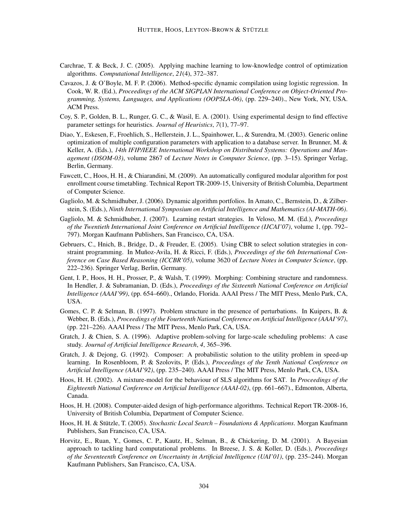- Carchrae, T. & Beck, J. C. (2005). Applying machine learning to low-knowledge control of optimization algorithms. *Computational Intelligence*, *21*(4), 372–387.
- Cavazos, J. & O'Boyle, M. F. P. (2006). Method-specific dynamic compilation using logistic regression. In Cook, W. R. (Ed.), *Proceedings of the ACM SIGPLAN International Conference on Object-Oriented Programming, Systems, Languages, and Applications (OOPSLA-06)*, (pp. 229–240)., New York, NY, USA. ACM Press.
- Coy, S. P., Golden, B. L., Runger, G. C., & Wasil, E. A. (2001). Using experimental design to find effective parameter settings for heuristics. *Journal of Heuristics*, *7*(1), 77–97.
- Diao, Y., Eskesen, F., Froehlich, S., Hellerstein, J. L., Spainhower, L., & Surendra, M. (2003). Generic online optimization of multiple configuration parameters with application to a database server. In Brunner, M. & Keller, A. (Eds.), *14th IFIP/IEEE International Workshop on Distributed Systems: Operations and Management (DSOM-03)*, volume 2867 of *Lecture Notes in Computer Science*, (pp. 3–15). Springer Verlag, Berlin, Germany.
- Fawcett, C., Hoos, H. H., & Chiarandini, M. (2009). An automatically configured modular algorithm for post enrollment course timetabling. Technical Report TR-2009-15, University of British Columbia, Department of Computer Science.
- Gagliolo, M. & Schmidhuber, J. (2006). Dynamic algorithm portfolios. In Amato, C., Bernstein, D., & Zilberstein, S. (Eds.), *Ninth International Symposium on Artificial Intelligence and Mathematics (AI-MATH-06)*.
- Gagliolo, M. & Schmidhuber, J. (2007). Learning restart strategies. In Veloso, M. M. (Ed.), *Proceedings of the Twentieth International Joint Conference on Artificial Intelligence (IJCAI'07)*, volume 1, (pp. 792– 797). Morgan Kaufmann Publishers, San Francisco, CA, USA.
- Gebruers, C., Hnich, B., Bridge, D., & Freuder, E. (2005). Using CBR to select solution strategies in constraint programming. In Muñoz-Avila, H. & Ricci, F. (Eds.), *Proceedings of the 6th International Conference on Case Based Reasoning (ICCBR'05)*, volume 3620 of *Lecture Notes in Computer Science*, (pp. 222–236). Springer Verlag, Berlin, Germany.
- Gent, I. P., Hoos, H. H., Prosser, P., & Walsh, T. (1999). Morphing: Combining structure and randomness. In Hendler, J. & Subramanian, D. (Eds.), *Proceedings of the Sixteenth National Conference on Artificial Intelligence (AAAI'99)*, (pp. 654–660)., Orlando, Florida. AAAI Press / The MIT Press, Menlo Park, CA, USA.
- Gomes, C. P. & Selman, B. (1997). Problem structure in the presence of perturbations. In Kuipers, B. & Webber, B. (Eds.), *Proceedings of the Fourteenth National Conference on Artificial Intelligence (AAAI'97)*, (pp. 221–226). AAAI Press / The MIT Press, Menlo Park, CA, USA.
- Gratch, J. & Chien, S. A. (1996). Adaptive problem-solving for large-scale scheduling problems: A case study. *Journal of Artificial Intelligence Research*, *4*, 365–396.
- Gratch, J. & Dejong, G. (1992). Composer: A probabilistic solution to the utility problem in speed-up learning. In Rosenbloom, P. & Szolovits, P. (Eds.), *Proceedings of the Tenth National Conference on Artificial Intelligence (AAAI'92)*, (pp. 235–240). AAAI Press / The MIT Press, Menlo Park, CA, USA.
- Hoos, H. H. (2002). A mixture-model for the behaviour of SLS algorithms for SAT. In *Proceedings of the Eighteenth National Conference on Artificial Intelligence (AAAI-02)*, (pp. 661–667)., Edmonton, Alberta, Canada.
- Hoos, H. H. (2008). Computer-aided design of high-performance algorithms. Technical Report TR-2008-16, University of British Columbia, Department of Computer Science.
- Hoos, H. H. & Stützle, T. (2005). Stochastic Local Search Foundations & Applications. Morgan Kaufmann Publishers, San Francisco, CA, USA.
- Horvitz, E., Ruan, Y., Gomes, C. P., Kautz, H., Selman, B., & Chickering, D. M. (2001). A Bayesian approach to tackling hard computational problems. In Breese, J. S. & Koller, D. (Eds.), *Proceedings of the Seventeenth Conference on Uncertainty in Artificial Intelligence (UAI'01)*, (pp. 235–244). Morgan Kaufmann Publishers, San Francisco, CA, USA.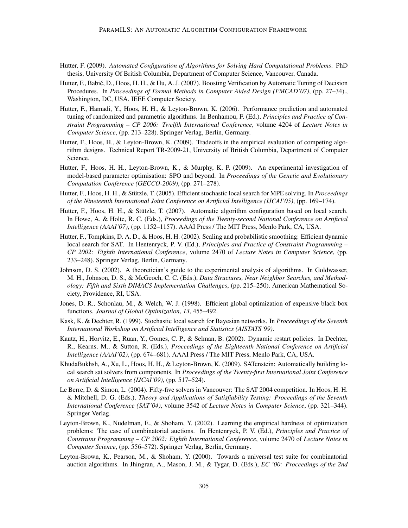- Hutter, F. (2009). *Automated Configuration of Algorithms for Solving Hard Computational Problems*. PhD thesis, University Of British Columbia, Department of Computer Science, Vancouver, Canada.
- Hutter, F., Babic, D., Hoos, H. H., & Hu, A. J. (2007). Boosting Verification by Automatic Tuning of Decision ´ Procedures. In *Proceedings of Formal Methods in Computer Aided Design (FMCAD'07)*, (pp. 27–34)., Washington, DC, USA. IEEE Computer Society.
- Hutter, F., Hamadi, Y., Hoos, H. H., & Leyton-Brown, K. (2006). Performance prediction and automated tuning of randomized and parametric algorithms. In Benhamou, F. (Ed.), *Principles and Practice of Constraint Programming – CP 2006: Twelfth International Conference*, volume 4204 of *Lecture Notes in Computer Science*, (pp. 213–228). Springer Verlag, Berlin, Germany.
- Hutter, F., Hoos, H., & Leyton-Brown, K. (2009). Tradeoffs in the empirical evaluation of competing algorithm designs. Technical Report TR-2009-21, University of British Columbia, Department of Computer Science.
- Hutter, F., Hoos, H. H., Leyton-Brown, K., & Murphy, K. P. (2009). An experimental investigation of model-based parameter optimisation: SPO and beyond. In *Proceedings of the Genetic and Evolutionary Computation Conference (GECCO-2009)*, (pp. 271–278).
- Hutter, F., Hoos, H. H., & Stützle, T. (2005). Efficient stochastic local search for MPE solving. In *Proceedings of the Nineteenth International Joint Conference on Artificial Intelligence (IJCAI'05)*, (pp. 169–174).
- Hutter, F., Hoos, H. H., & Stützle, T. (2007). Automatic algorithm configuration based on local search. In Howe, A. & Holte, R. C. (Eds.), *Proceedings of the Twenty-second National Conference on Artificial Intelligence (AAAI'07)*, (pp. 1152–1157). AAAI Press / The MIT Press, Menlo Park, CA, USA.
- Hutter, F., Tompkins, D. A. D., & Hoos, H. H. (2002). Scaling and probabilistic smoothing: Efficient dynamic local search for SAT. In Hentenryck, P. V. (Ed.), *Principles and Practice of Constraint Programming – CP 2002: Eighth International Conference*, volume 2470 of *Lecture Notes in Computer Science*, (pp. 233–248). Springer Verlag, Berlin, Germany.
- Johnson, D. S. (2002). A theoretician's guide to the experimental analysis of algorithms. In Goldwasser, M. H., Johnson, D. S., & McGeoch, C. C. (Eds.), *Data Structures, Near Neighbor Searches, and Methodology: Fifth and Sixth DIMACS Implementation Challenges*, (pp. 215–250). American Mathematical Society, Providence, RI, USA.
- Jones, D. R., Schonlau, M., & Welch, W. J. (1998). Efficient global optimization of expensive black box functions. *Journal of Global Optimization*, *13*, 455–492.
- Kask, K. & Dechter, R. (1999). Stochastic local search for Bayesian networks. In *Proceedings of the Seventh International Workshop on Artificial Intelligence and Statistics (AISTATS'99)*.
- Kautz, H., Horvitz, E., Ruan, Y., Gomes, C. P., & Selman, B. (2002). Dynamic restart policies. In Dechter, R., Kearns, M., & Sutton, R. (Eds.), *Proceedings of the Eighteenth National Conference on Artificial Intelligence (AAAI'02)*, (pp. 674–681). AAAI Press / The MIT Press, Menlo Park, CA, USA.
- KhudaBukhsh, A., Xu, L., Hoos, H. H., & Leyton-Brown, K. (2009). SATenstein: Automatically building local search sat solvers from components. In *Proceedings of the Twenty-first International Joint Conference on Artificial Intelligence (IJCAI'09)*, (pp. 517–524).
- Le Berre, D. & Simon, L. (2004). Fifty-five solvers in Vancouver: The SAT 2004 competition. In Hoos, H. H. & Mitchell, D. G. (Eds.), *Theory and Applications of Satisfiability Testing: Proceedings of the Seventh International Conference (SAT'04)*, volume 3542 of *Lecture Notes in Computer Science*, (pp. 321–344). Springer Verlag.
- Leyton-Brown, K., Nudelman, E., & Shoham, Y. (2002). Learning the empirical hardness of optimization problems: The case of combinatorial auctions. In Hentenryck, P. V. (Ed.), *Principles and Practice of Constraint Programming – CP 2002: Eighth International Conference*, volume 2470 of *Lecture Notes in Computer Science*, (pp. 556–572). Springer Verlag, Berlin, Germany.
- Leyton-Brown, K., Pearson, M., & Shoham, Y. (2000). Towards a universal test suite for combinatorial auction algorithms. In Jhingran, A., Mason, J. M., & Tygar, D. (Eds.), *EC '00: Proceedings of the 2nd*